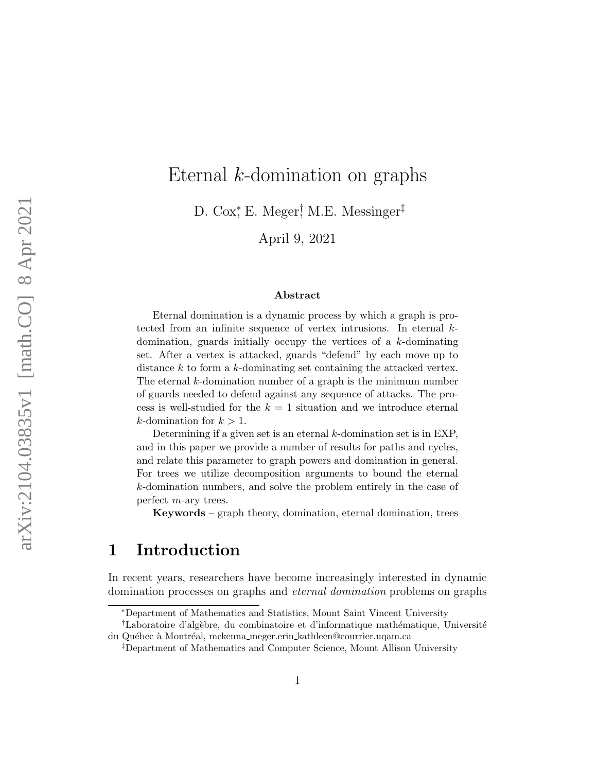# Eternal k-domination on graphs

D. Cox<sup>\*</sup>, E. Meger<sup>†</sup>, M.E. Messinger<sup>‡</sup>

April 9, 2021

#### Abstract

Eternal domination is a dynamic process by which a graph is protected from an infinite sequence of vertex intrusions. In eternal kdomination, guards initially occupy the vertices of a k-dominating set. After a vertex is attacked, guards "defend" by each move up to distance k to form a k-dominating set containing the attacked vertex. The eternal  $k$ -domination number of a graph is the minimum number of guards needed to defend against any sequence of attacks. The process is well-studied for the  $k = 1$  situation and we introduce eternal k-domination for  $k > 1$ .

Determining if a given set is an eternal  $k$ -domination set is in EXP, and in this paper we provide a number of results for paths and cycles, and relate this parameter to graph powers and domination in general. For trees we utilize decomposition arguments to bound the eternal k-domination numbers, and solve the problem entirely in the case of perfect m-ary trees.

Keywords – graph theory, domination, eternal domination, trees

## 1 Introduction

In recent years, researchers have become increasingly interested in dynamic domination processes on graphs and eternal domination problems on graphs

<sup>∗</sup>Department of Mathematics and Statistics, Mount Saint Vincent University

<sup>&</sup>lt;sup>†</sup>Laboratoire d'algèbre, du combinatoire et d'informatique mathématique, Université du Québec à Montréal, mckenna meger.erin kathleen@courrier.uqam.ca

<sup>‡</sup>Department of Mathematics and Computer Science, Mount Allison University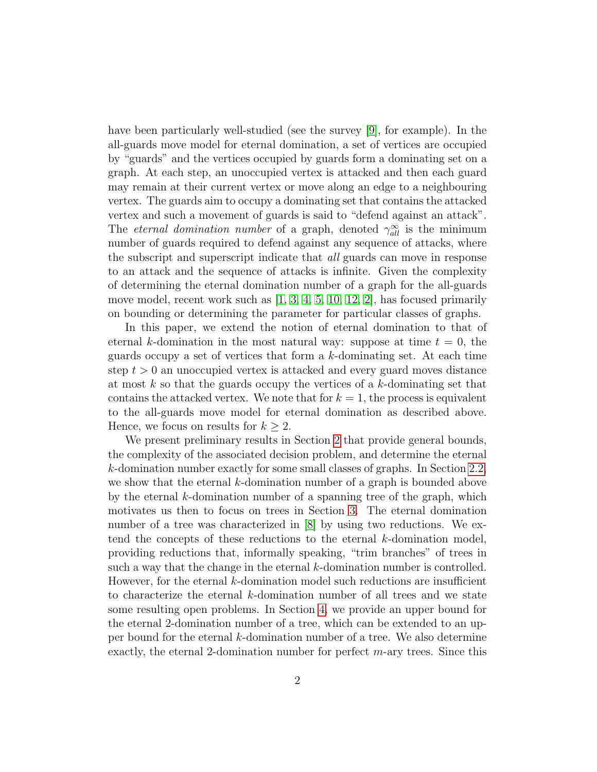have been particularly well-studied (see the survey [\[9\]](#page-26-0), for example). In the all-guards move model for eternal domination, a set of vertices are occupied by "guards" and the vertices occupied by guards form a dominating set on a graph. At each step, an unoccupied vertex is attacked and then each guard may remain at their current vertex or move along an edge to a neighbouring vertex. The guards aim to occupy a dominating set that contains the attacked vertex and such a movement of guards is said to "defend against an attack". The *eternal domination number* of a graph, denoted  $\gamma_{all}^{\infty}$  is the minimum number of guards required to defend against any sequence of attacks, where the subscript and superscript indicate that all guards can move in response to an attack and the sequence of attacks is infinite. Given the complexity of determining the eternal domination number of a graph for the all-guards move model, recent work such as [\[1,](#page-25-0) [3,](#page-26-1) [4,](#page-26-2) [5,](#page-26-3) [10,](#page-26-4) [12,](#page-26-5) [2\]](#page-26-6), has focused primarily on bounding or determining the parameter for particular classes of graphs.

In this paper, we extend the notion of eternal domination to that of eternal k-domination in the most natural way: suppose at time  $t = 0$ , the guards occupy a set of vertices that form a  $k$ -dominating set. At each time step  $t > 0$  an unoccupied vertex is attacked and every guard moves distance at most  $k$  so that the guards occupy the vertices of a  $k$ -dominating set that contains the attacked vertex. We note that for  $k = 1$ , the process is equivalent to the all-guards move model for eternal domination as described above. Hence, we focus on results for  $k \geq 2$ .

We present preliminary results in Section [2](#page-2-0) that provide general bounds, the complexity of the associated decision problem, and determine the eternal k-domination number exactly for some small classes of graphs. In Section [2.2,](#page-6-0) we show that the eternal k-domination number of a graph is bounded above by the eternal k-domination number of a spanning tree of the graph, which motivates us then to focus on trees in Section [3.](#page-8-0) The eternal domination number of a tree was characterized in [\[8\]](#page-26-7) by using two reductions. We extend the concepts of these reductions to the eternal k-domination model, providing reductions that, informally speaking, "trim branches" of trees in such a way that the change in the eternal k-domination number is controlled. However, for the eternal  $k$ -domination model such reductions are insufficient to characterize the eternal k-domination number of all trees and we state some resulting open problems. In Section [4,](#page-15-0) we provide an upper bound for the eternal 2-domination number of a tree, which can be extended to an upper bound for the eternal k-domination number of a tree. We also determine exactly, the eternal 2-domination number for perfect m-ary trees. Since this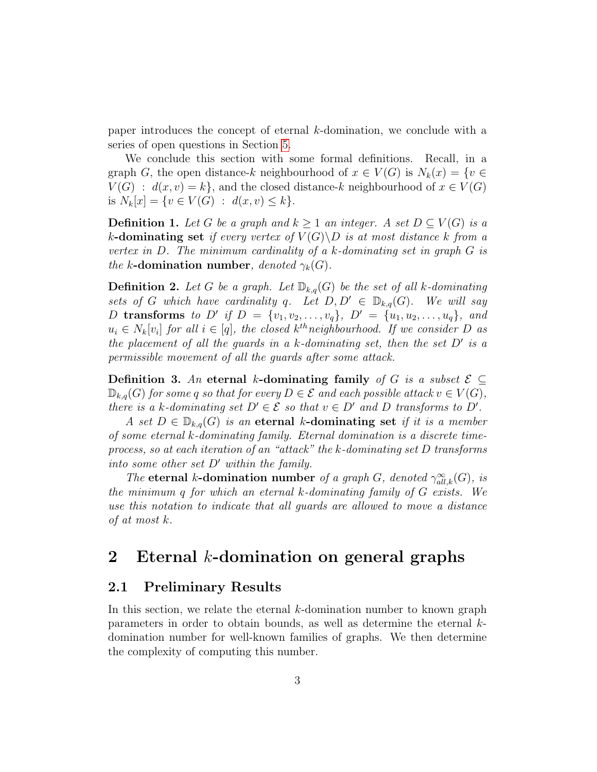paper introduces the concept of eternal k-domination, we conclude with a series of open questions in Section [5.](#page-24-0)

We conclude this section with some formal definitions. Recall, in a graph G, the open distance-k neighbourhood of  $x \in V(G)$  is  $N_k(x) = \{v \in$  $V(G) : d(x, v) = k$ , and the closed distance-k neighbourhood of  $x \in V(G)$ is  $N_k[x] = \{v \in V(G) : d(x, v) \leq k\}.$ 

**Definition 1.** Let G be a graph and  $k \geq 1$  an integer. A set  $D \subseteq V(G)$  is a k-dominating set if every vertex of  $V(G) \backslash D$  is at most distance k from a vertex in  $D$ . The minimum cardinality of a k-dominating set in graph  $G$  is the k-domination number, denoted  $\gamma_k(G)$ .

**Definition 2.** Let G be a graph. Let  $\mathbb{D}_{k,q}(G)$  be the set of all k-dominating sets of G which have cardinality q. Let  $D, D' \in \mathbb{D}_{k,q}(G)$ . We will say D transforms to D' if  $D = \{v_1, v_2, \ldots, v_q\}$ ,  $D' = \{u_1, u_2, \ldots, u_q\}$ , and  $u_i \in N_k[v_i]$  for all  $i \in [q]$ , the closed  $k^{th}$ neighbourhood. If we consider D as the placement of all the guards in a  $k$ -dominating set, then the set  $D'$  is a permissible movement of all the guards after some attack.

Definition 3. An eternal k-dominating family of G is a subset  $\mathcal{E} \subseteq$  $\mathbb{D}_{k,q}(G)$  for some q so that for every  $D \in \mathcal{E}$  and each possible attack  $v \in V(G)$ , there is a k-dominating set  $D' \in \mathcal{E}$  so that  $v \in D'$  and D transforms to  $D'$ .

A set  $D \in \mathbb{D}_{k,q}(G)$  is an eternal k-dominating set if it is a member of some eternal k-dominating family. Eternal domination is a discrete timeprocess, so at each iteration of an "attack" the k-dominating set D transforms into some other set  $D'$  within the family.

The eternal k-domination number of a graph G, denoted  $\gamma_{all,k}^{\infty}(G)$ , is the minimum q for which an eternal  $k$ -dominating family of  $G$  exists. We use this notation to indicate that all guards are allowed to move a distance of at most k.

### <span id="page-2-0"></span>2 Eternal k-domination on general graphs

#### <span id="page-2-1"></span>2.1 Preliminary Results

In this section, we relate the eternal k-domination number to known graph parameters in order to obtain bounds, as well as determine the eternal kdomination number for well-known families of graphs. We then determine the complexity of computing this number.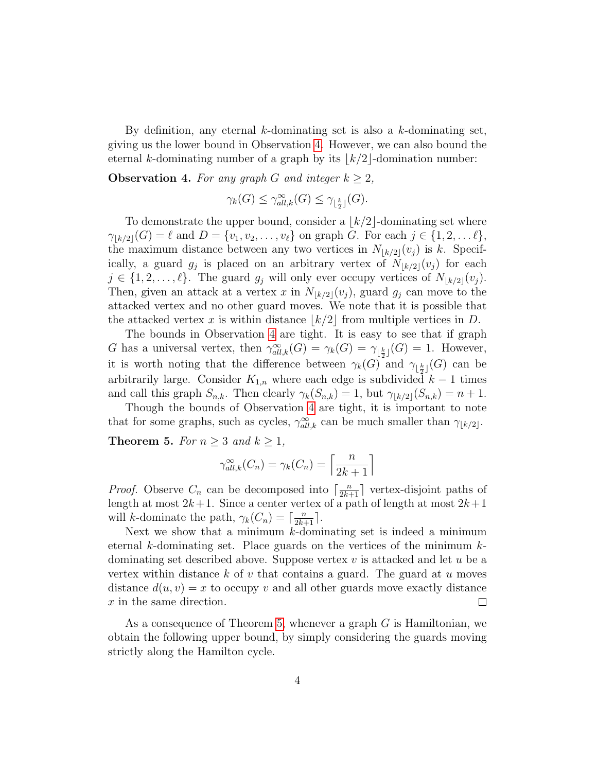By definition, any eternal k-dominating set is also a k-dominating set, giving us the lower bound in Observation [4.](#page-3-0) However, we can also bound the eternal k-dominating number of a graph by its  $|k/2|$ -domination number:

<span id="page-3-0"></span>**Observation 4.** For any graph G and integer  $k \geq 2$ ,

$$
\gamma_k(G) \le \gamma_{all,k}^{\infty}(G) \le \gamma_{\lfloor \frac{k}{2} \rfloor}(G).
$$

To demonstrate the upper bound, consider a  $k/2$ -dominating set where  $\gamma_{k/2}(G) = \ell$  and  $D = \{v_1, v_2, \ldots, v_\ell\}$  on graph G. For each  $j \in \{1, 2, \ldots \ell\},\$ the maximum distance between any two vertices in  $N_{k/2}(v_j)$  is k. Specifically, a guard  $g_j$  is placed on an arbitrary vertex of  $N_{\lfloor k/2\rfloor}(v_j)$  for each  $j \in \{1, 2, \ldots, \ell\}$ . The guard  $g_i$  will only ever occupy vertices of  $N_{\lfloor k/2\rfloor}(v_i)$ . Then, given an attack at a vertex x in  $N_{\lfloor k/2\rfloor}(v_j)$ , guard  $g_j$  can move to the attacked vertex and no other guard moves. We note that it is possible that the attacked vertex x is within distance  $k/2$  from multiple vertices in D.

The bounds in Observation [4](#page-3-0) are tight. It is easy to see that if graph G has a universal vertex, then  $\gamma_{all,k}^{\infty}(G) = \gamma_k(G) = \gamma_{\lfloor \frac{k}{2} \rfloor}(G) = 1$ . However, it is worth noting that the difference between  $\gamma_k(G)$  and  $\gamma_{\lfloor \frac{k}{2} \rfloor}(G)$  can be arbitrarily large. Consider  $K_{1,n}$  where each edge is subdivided  $k-1$  times and call this graph  $S_{n,k}$ . Then clearly  $\gamma_k(S_{n,k}) = 1$ , but  $\gamma_{k/2}(S_{n,k}) = n + 1$ .

Though the bounds of Observation [4](#page-3-0) are tight, it is important to note that for some graphs, such as cycles,  $\gamma_{all,k}^{\infty}$  can be much smaller than  $\gamma_{\lfloor k/2 \rfloor}$ .

<span id="page-3-1"></span>**Theorem 5.** For  $n \geq 3$  and  $k \geq 1$ ,

$$
\gamma_{all,k}^{\infty}(C_n) = \gamma_k(C_n) = \left\lceil \frac{n}{2k+1} \right\rceil
$$

*Proof.* Observe  $C_n$  can be decomposed into  $\lceil \frac{n}{2k+1} \rceil$  vertex-disjoint paths of length at most  $2k+1$ . Since a center vertex of a path of length at most  $2k+1$ will k-dominate the path,  $\gamma_k(C_n) = \lceil \frac{n}{2k+1} \rceil$ .

Next we show that a minimum  $k$ -dominating set is indeed a minimum eternal k-dominating set. Place guards on the vertices of the minimum  $k$ dominating set described above. Suppose vertex  $v$  is attacked and let  $u$  be a vertex within distance  $k$  of  $v$  that contains a guard. The guard at  $u$  moves distance  $d(u, v) = x$  to occupy v and all other guards move exactly distance x in the same direction.  $\Box$ 

As a consequence of Theorem [5,](#page-3-1) whenever a graph G is Hamiltonian, we obtain the following upper bound, by simply considering the guards moving strictly along the Hamilton cycle.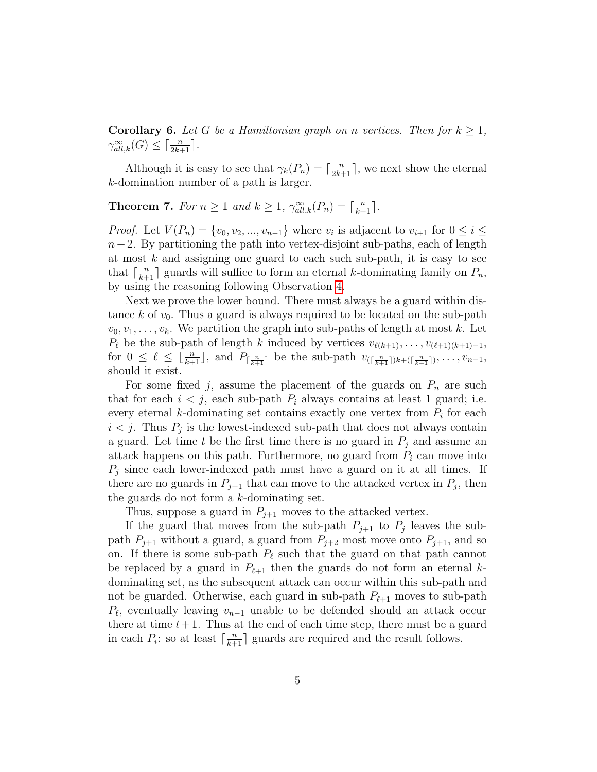**Corollary 6.** Let G be a Hamiltonian graph on n vertices. Then for  $k \geq 1$ ,  $\gamma_{all,k}^{\infty}(G) \leq \lceil \frac{n}{2k+1} \rceil$ .

Although it is easy to see that  $\gamma_k(P_n) = \lceil \frac{n}{2k+1} \rceil$ , we next show the eternal k-domination number of a path is larger.

<span id="page-4-0"></span>**Theorem 7.** For  $n \geq 1$  and  $k \geq 1$ ,  $\gamma_{all,k}^{\infty}(P_n) = \lceil \frac{n}{k+1} \rceil$ .

*Proof.* Let  $V(P_n) = \{v_0, v_2, ..., v_{n-1}\}\$  where  $v_i$  is adjacent to  $v_{i+1}$  for  $0 \leq i \leq n$  $n-2$ . By partitioning the path into vertex-disjoint sub-paths, each of length at most  $k$  and assigning one guard to each such sub-path, it is easy to see that  $\lceil \frac{n}{k+1} \rceil$  guards will suffice to form an eternal k-dominating family on  $P_n$ , by using the reasoning following Observation [4.](#page-3-0)

Next we prove the lower bound. There must always be a guard within distance k of  $v_0$ . Thus a guard is always required to be located on the sub-path  $v_0, v_1, \ldots, v_k$ . We partition the graph into sub-paths of length at most k. Let  $P_\ell$  be the sub-path of length k induced by vertices  $v_{\ell(k+1)}, \ldots, v_{(\ell+1)(k+1)-1}$ , for  $0 \leq \ell \leq \lfloor \frac{n}{k+1} \rfloor$ , and  $P_{\lceil \frac{n}{k+1} \rceil}$  be the sub-path  $v_{\lfloor \frac{n}{k+1} \rfloor} \cdot \ldots, v_{n-1}$ , should it exist.

For some fixed j, assume the placement of the guards on  $P_n$  are such that for each  $i < j$ , each sub-path  $P_i$  always contains at least 1 guard; i.e. every eternal  $k$ -dominating set contains exactly one vertex from  $P_i$  for each  $i < j$ . Thus  $P_j$  is the lowest-indexed sub-path that does not always contain a guard. Let time t be the first time there is no guard in  $P_i$  and assume an attack happens on this path. Furthermore, no guard from  $P_i$  can move into  $P_j$  since each lower-indexed path must have a guard on it at all times. If there are no guards in  $P_{j+1}$  that can move to the attacked vertex in  $P_j$ , then the guards do not form a k-dominating set.

Thus, suppose a guard in  $P_{j+1}$  moves to the attacked vertex.

If the guard that moves from the sub-path  $P_{j+1}$  to  $P_j$  leaves the subpath  $P_{j+1}$  without a guard, a guard from  $P_{j+2}$  most move onto  $P_{j+1}$ , and so on. If there is some sub-path  $P_\ell$  such that the guard on that path cannot be replaced by a guard in  $P_{\ell+1}$  then the guards do not form an eternal kdominating set, as the subsequent attack can occur within this sub-path and not be guarded. Otherwise, each guard in sub-path  $P_{\ell+1}$  moves to sub-path  $P_{\ell}$ , eventually leaving  $v_{n-1}$  unable to be defended should an attack occur there at time  $t+1$ . Thus at the end of each time step, there must be a guard in each  $P_i$ : so at least  $\lceil \frac{n}{k+1} \rceil$  guards are required and the result follows.  $\Box$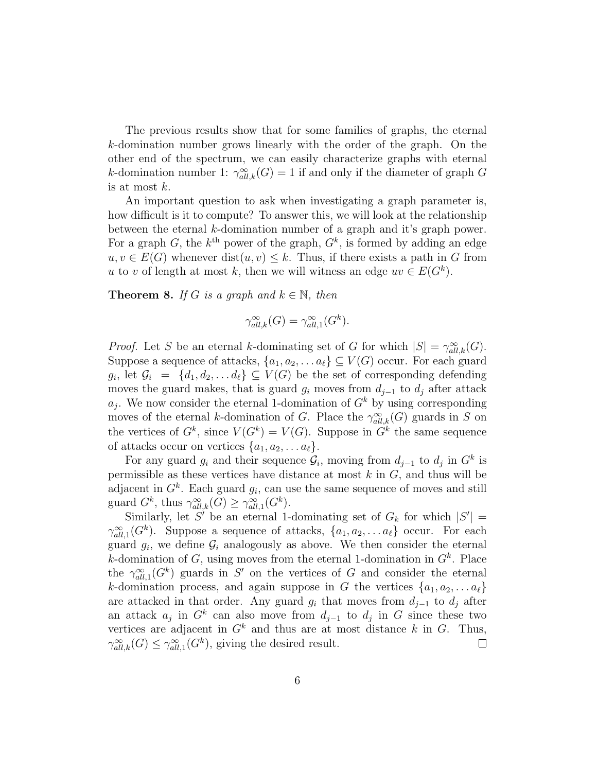The previous results show that for some families of graphs, the eternal k-domination number grows linearly with the order of the graph. On the other end of the spectrum, we can easily characterize graphs with eternal k-domination number 1:  $\gamma_{all,k}^{\infty}(G) = 1$  if and only if the diameter of graph G is at most k.

An important question to ask when investigating a graph parameter is, how difficult is it to compute? To answer this, we will look at the relationship between the eternal k-domination number of a graph and it's graph power. For a graph G, the  $k^{\text{th}}$  power of the graph,  $G^k$ , is formed by adding an edge  $u, v \in E(G)$  whenever  $dist(u, v) \leq k$ . Thus, if there exists a path in G from u to v of length at most k, then we will witness an edge  $uv \in E(G^k)$ .

<span id="page-5-0"></span>**Theorem 8.** If G is a graph and  $k \in \mathbb{N}$ , then

$$
\gamma_{all,k}^{\infty}(G) = \gamma_{all,1}^{\infty}(G^k).
$$

*Proof.* Let S be an eternal k-dominating set of G for which  $|S| = \gamma_{all,k}^{\infty}(G)$ . Suppose a sequence of attacks,  $\{a_1, a_2, \ldots a_\ell\} \subseteq V(G)$  occur. For each guard  $g_i$ , let  $\mathcal{G}_i = \{d_1, d_2, \ldots d_\ell\} \subseteq V(G)$  be the set of corresponding defending moves the guard makes, that is guard  $g_i$  moves from  $d_{i-1}$  to  $d_i$  after attack  $a_j$ . We now consider the eternal 1-domination of  $G<sup>k</sup>$  by using corresponding moves of the eternal k-domination of G. Place the  $\gamma_{all,k}^{\infty}(G)$  guards in S on the vertices of  $G^k$ , since  $V(G^k) = V(G)$ . Suppose in  $G^k$  the same sequence of attacks occur on vertices  $\{a_1, a_2, \ldots a_\ell\}.$ 

For any guard  $g_i$  and their sequence  $\mathcal{G}_i$ , moving from  $d_{j-1}$  to  $d_j$  in  $G^k$  is permissible as these vertices have distance at most  $k$  in  $G$ , and thus will be adjacent in  $G^k$ . Each guard  $g_i$ , can use the same sequence of moves and still guard  $G^k$ , thus  $\gamma_{all,k}^{\infty}(G) \geq \gamma_{all,1}^{\infty}(G^k)$ .

Similarly, let S' be an eternal 1-dominating set of  $G_k$  for which  $|S'| =$  $\gamma_{all,1}^{\infty}(G^k)$ . Suppose a sequence of attacks,  $\{a_1, a_2, \ldots a_{\ell}\}\$  occur. For each guard  $g_i$ , we define  $\mathcal{G}_i$  analogously as above. We then consider the eternal k-domination of  $G$ , using moves from the eternal 1-domination in  $G<sup>k</sup>$ . Place the  $\gamma_{all,1}^{\infty}(G^k)$  guards in S' on the vertices of G and consider the eternal k-domination process, and again suppose in G the vertices  $\{a_1, a_2, \ldots a_\ell\}$ are attacked in that order. Any guard  $g_i$  that moves from  $d_{i-1}$  to  $d_i$  after an attack  $a_j$  in  $G^k$  can also move from  $d_{j-1}$  to  $d_j$  in G since these two vertices are adjacent in  $G^k$  and thus are at most distance k in G. Thus,  $\gamma_{all,k}^{\infty}(G) \leq \gamma_{all,1}^{\infty}(G^k)$ , giving the desired result.  $\Box$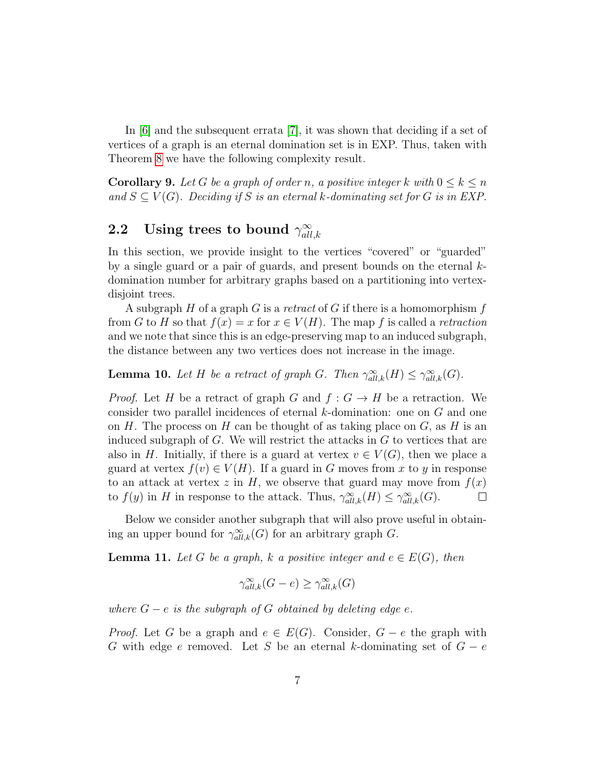In [\[6\]](#page-26-8) and the subsequent errata [\[7\]](#page-26-9), it was shown that deciding if a set of vertices of a graph is an eternal domination set is in EXP. Thus, taken with Theorem [8](#page-5-0) we have the following complexity result.

**Corollary 9.** Let G be a graph of order n, a positive integer k with  $0 \leq k \leq n$ and  $S \subseteq V(G)$ . Deciding if S is an eternal k-dominating set for G is in EXP.

#### <span id="page-6-0"></span>2.2 Using trees to bound  $\gamma_{all}^{\infty}$  $all,k$

In this section, we provide insight to the vertices "covered" or "guarded" by a single guard or a pair of guards, and present bounds on the eternal  $k$ domination number for arbitrary graphs based on a partitioning into vertexdisjoint trees.

A subgraph H of a graph G is a retract of G if there is a homomorphism f from G to H so that  $f(x) = x$  for  $x \in V(H)$ . The map f is called a retraction and we note that since this is an edge-preserving map to an induced subgraph, the distance between any two vertices does not increase in the image.

<span id="page-6-2"></span>**Lemma 10.** Let H be a retract of graph G. Then  $\gamma_{all,k}^{\infty}(H) \leq \gamma_{all,k}^{\infty}(G)$ .

*Proof.* Let H be a retract of graph G and  $f : G \to H$  be a retraction. We consider two parallel incidences of eternal k-domination: one on G and one on H. The process on H can be thought of as taking place on  $G$ , as H is an induced subgraph of  $G$ . We will restrict the attacks in  $G$  to vertices that are also in H. Initially, if there is a guard at vertex  $v \in V(G)$ , then we place a guard at vertex  $f(v) \in V(H)$ . If a guard in G moves from x to y in response to an attack at vertex z in H, we observe that guard may move from  $f(x)$ to  $f(y)$  in H in response to the attack. Thus,  $\gamma_{all,k}^{\infty}(H) \leq \gamma_{all,k}^{\infty}(G)$ .  $\Box$ 

Below we consider another subgraph that will also prove useful in obtaining an upper bound for  $\gamma_{all,k}^{\infty}(G)$  for an arbitrary graph G.

<span id="page-6-1"></span>**Lemma 11.** Let G be a graph, k a positive integer and  $e \in E(G)$ , then

$$
\gamma_{all,k}^{\infty}(G-e) \ge \gamma_{all,k}^{\infty}(G)
$$

where  $G - e$  is the subgraph of G obtained by deleting edge e.

*Proof.* Let G be a graph and  $e \in E(G)$ . Consider,  $G - e$  the graph with G with edge e removed. Let S be an eternal k-dominating set of  $G - e$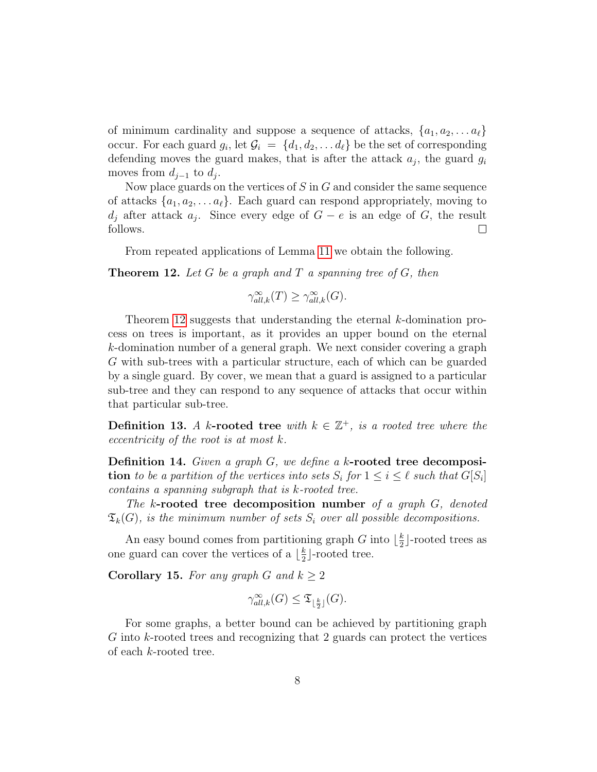of minimum cardinality and suppose a sequence of attacks,  $\{a_1, a_2, \ldots a_\ell\}$ occur. For each guard  $g_i$ , let  $\mathcal{G}_i = \{d_1, d_2, \ldots d_\ell\}$  be the set of corresponding defending moves the guard makes, that is after the attack  $a_j$ , the guard  $g_i$ moves from  $d_{j-1}$  to  $d_j$ .

Now place guards on the vertices of  $S$  in  $G$  and consider the same sequence of attacks  $\{a_1, a_2, \ldots a_\ell\}$ . Each guard can respond appropriately, moving to  $d_j$  after attack  $a_j$ . Since every edge of  $G - e$  is an edge of G, the result follows.  $\Box$ 

From repeated applications of Lemma [11](#page-6-1) we obtain the following.

<span id="page-7-0"></span>**Theorem 12.** Let G be a graph and T a spanning tree of G, then

 $\gamma_{all,k}^{\infty}(T) \geq \gamma_{all,k}^{\infty}(G).$ 

Theorem [12](#page-7-0) suggests that understanding the eternal k-domination process on trees is important, as it provides an upper bound on the eternal k-domination number of a general graph. We next consider covering a graph G with sub-trees with a particular structure, each of which can be guarded by a single guard. By cover, we mean that a guard is assigned to a particular sub-tree and they can respond to any sequence of attacks that occur within that particular sub-tree.

**Definition 13.** A k-rooted tree with  $k \in \mathbb{Z}^+$ , is a rooted tree where the eccentricity of the root is at most k.

Definition 14. Given a graph G, we define a k-rooted tree decomposi**tion** to be a partition of the vertices into sets  $S_i$  for  $1 \leq i \leq \ell$  such that  $G[S_i]$ contains a spanning subgraph that is k-rooted tree.

The k-rooted tree decomposition number of a graph G, denoted  $\mathfrak{T}_k(G)$ , is the minimum number of sets  $S_i$  over all possible decompositions.

An easy bound comes from partitioning graph G into  $\frac{k}{2}$  $\frac{k}{2}$ -rooted trees as one guard can cover the vertices of a  $\frac{k}{2}$  $\frac{k}{2}$ -rooted tree.

Corollary 15. For any graph G and  $k > 2$ 

$$
\gamma_{all,k}^{\infty}(G) \leq \mathfrak{T}_{\lfloor \frac{k}{2} \rfloor}(G).
$$

For some graphs, a better bound can be achieved by partitioning graph G into k-rooted trees and recognizing that 2 guards can protect the vertices of each k-rooted tree.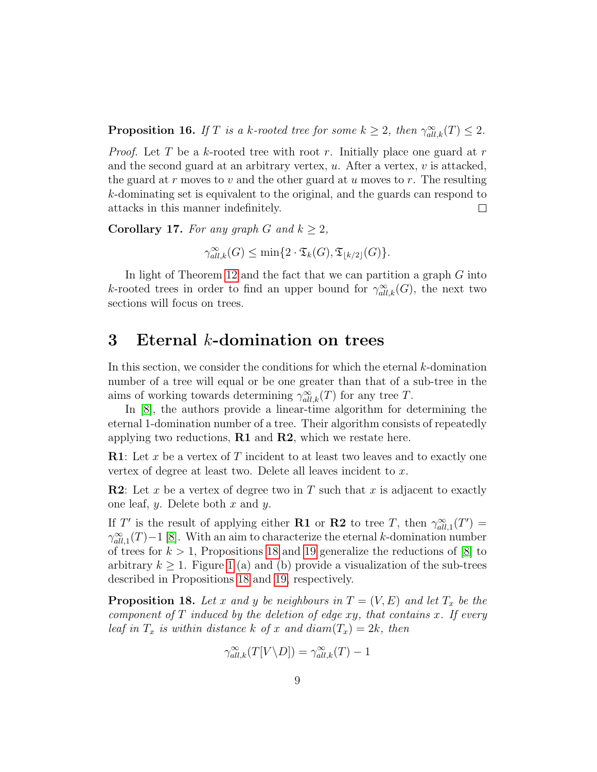**Proposition 16.** If T is a k-rooted tree for some  $k \geq 2$ , then  $\gamma_{all,k}^{\infty}(T) \leq 2$ .

*Proof.* Let T be a k-rooted tree with root r. Initially place one guard at r and the second guard at an arbitrary vertex,  $u$ . After a vertex,  $v$  is attacked, the guard at r moves to v and the other guard at u moves to r. The resulting k-dominating set is equivalent to the original, and the guards can respond to attacks in this manner indefinitely.  $\Box$ 

Corollary 17. For any graph G and  $k \geq 2$ ,

 $\gamma_{all,k}^{\infty}(G) \le \min\{2 \cdot \mathfrak{T}_{k}(G), \mathfrak{T}_{\lfloor k/2 \rfloor}(G)\}.$ 

In light of Theorem [12](#page-7-0) and the fact that we can partition a graph G into k-rooted trees in order to find an upper bound for  $\gamma^{\infty}_{all,k}(G)$ , the next two sections will focus on trees.

## <span id="page-8-0"></span>3 Eternal k-domination on trees

In this section, we consider the conditions for which the eternal  $k$ -domination number of a tree will equal or be one greater than that of a sub-tree in the aims of working towards determining  $\gamma_{all,k}^{\infty}(T)$  for any tree T.

In [\[8\]](#page-26-7), the authors provide a linear-time algorithm for determining the eternal 1-domination number of a tree. Their algorithm consists of repeatedly applying two reductions,  $R1$  and  $R2$ , which we restate here.

**R1**: Let x be a vertex of T incident to at least two leaves and to exactly one vertex of degree at least two. Delete all leaves incident to x.

**R2**: Let x be a vertex of degree two in T such that x is adjacent to exactly one leaf,  $y$ . Delete both  $x$  and  $y$ .

If T' is the result of applying either **R1** or **R2** to tree T, then  $\gamma_{all,1}^{\infty}(T') =$  $\gamma_{all,1}^{\infty}(T)-1$  [\[8\]](#page-26-7). With an aim to characterize the eternal k-domination number of trees for  $k > 1$ , Propositions [18](#page-8-1) and [19](#page-10-0) generalize the reductions of [\[8\]](#page-26-7) to arbitrary  $k \geq 1$  $k \geq 1$ . Figure 1 (a) and (b) provide a visualization of the sub-trees described in Propositions [18](#page-8-1) and [19,](#page-10-0) respectively.

<span id="page-8-1"></span>**Proposition 18.** Let x and y be neighbours in  $T = (V, E)$  and let  $T_x$  be the component of  $T$  induced by the deletion of edge  $xy$ , that contains  $x$ . If every leaf in  $T_x$  is within distance k of x and diam $(T_x) = 2k$ , then

$$
\gamma_{all,k}^{\infty}(T[V \backslash D]) = \gamma_{all,k}^{\infty}(T) - 1
$$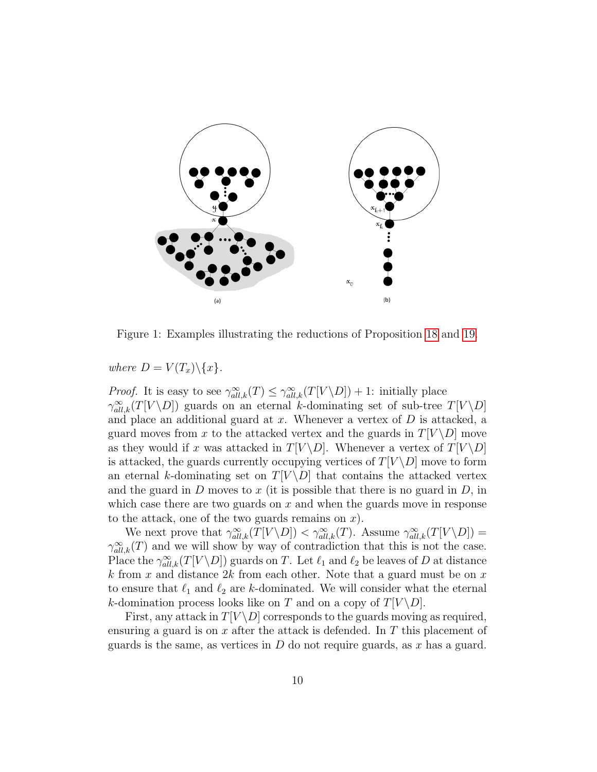

<span id="page-9-0"></span>Figure 1: Examples illustrating the reductions of Proposition [18](#page-8-1) and [19.](#page-10-0)

where  $D = V(T_x) \setminus \{x\}.$ 

*Proof.* It is easy to see  $\gamma_{all,k}^{\infty}(T) \leq \gamma_{all,k}^{\infty}(T[V \backslash D]) + 1$ : initially place  $\gamma_{all,k}^{\infty}(T[V \backslash D])$  guards on an eternal k-dominating set of sub-tree  $T[V \backslash D]$ and place an additional guard at  $x$ . Whenever a vertex of  $D$  is attacked, a guard moves from x to the attacked vertex and the guards in  $T[V \ D]$  move as they would if x was attacked in  $T[V \backslash D]$ . Whenever a vertex of  $T[V \backslash D]$ is attacked, the guards currently occupying vertices of  $T[V \ D]$  move to form an eternal k-dominating set on  $T[V \backslash D]$  that contains the attacked vertex and the guard in  $D$  moves to  $x$  (it is possible that there is no guard in  $D$ , in which case there are two guards on  $x$  and when the guards move in response to the attack, one of the two guards remains on  $x$ ).

We next prove that  $\gamma_{all,k}^{\infty}(T[V \setminus D]) < \gamma_{all,k}^{\infty}(T)$ . Assume  $\gamma_{all,k}^{\infty}(T[V \setminus D])$  $\gamma_{all,k}^{\infty}(T)$  and we will show by way of contradiction that this is not the case. Place the  $\gamma_{all,k}^{\infty}(T[V \setminus D])$  guards on T. Let  $\ell_1$  and  $\ell_2$  be leaves of D at distance k from x and distance 2k from each other. Note that a guard must be on x to ensure that  $\ell_1$  and  $\ell_2$  are k-dominated. We will consider what the eternal k-domination process looks like on T and on a copy of  $T[V \backslash D]$ .

First, any attack in  $T[V \ D]$  corresponds to the guards moving as required, ensuring a guard is on  $x$  after the attack is defended. In  $T$  this placement of guards is the same, as vertices in  $D$  do not require guards, as  $x$  has a guard.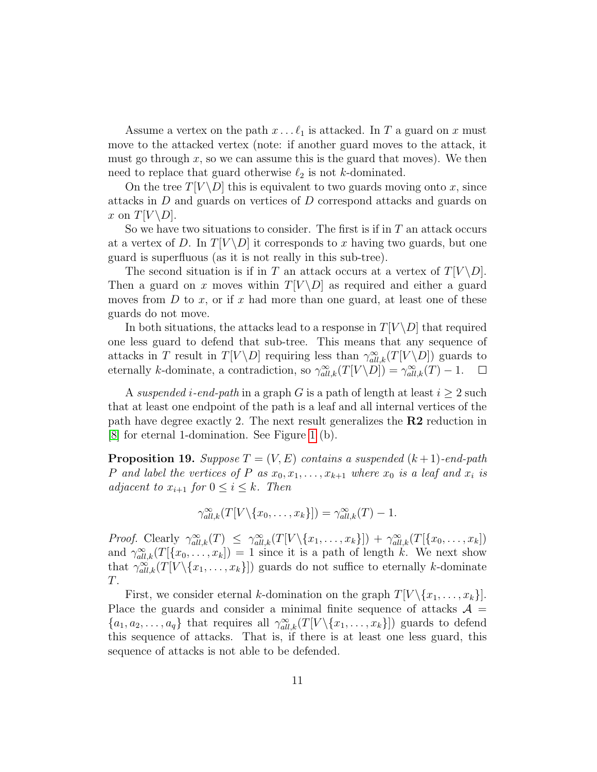Assume a vertex on the path  $x \dots \ell_1$  is attacked. In T a guard on x must move to the attacked vertex (note: if another guard moves to the attack, it must go through  $x$ , so we can assume this is the guard that moves). We then need to replace that guard otherwise  $\ell_2$  is not k-dominated.

On the tree  $T[V \ D]$  this is equivalent to two guards moving onto x, since attacks in D and guards on vertices of D correspond attacks and guards on x on  $T[V \backslash D]$ .

So we have two situations to consider. The first is if in  $T$  an attack occurs at a vertex of D. In  $T[V \backslash D]$  it corresponds to x having two guards, but one guard is superfluous (as it is not really in this sub-tree).

The second situation is if in T an attack occurs at a vertex of  $T[V \setminus D]$ . Then a guard on x moves within  $T[V \backslash D]$  as required and either a guard moves from  $D$  to  $x$ , or if  $x$  had more than one guard, at least one of these guards do not move.

In both situations, the attacks lead to a response in  $T[V \ D]$  that required one less guard to defend that sub-tree. This means that any sequence of attacks in T result in  $T[V \backslash D]$  requiring less than  $\gamma_{all,k}^{\infty}(T[V \backslash D])$  guards to eternally k-dominate, a contradiction, so  $\gamma_{all,k}^{\infty}(T[V \setminus D]) = \gamma_{all,k}^{\infty}(T) - 1$ .  $\mathcal{L}_{\mathcal{A}}$ 

A suspended i-end-path in a graph G is a path of length at least  $i \geq 2$  such that at least one endpoint of the path is a leaf and all internal vertices of the path have degree exactly 2. The next result generalizes the  $R2$  reduction in [\[8\]](#page-26-7) for eternal 1-domination. See Figure [1](#page-9-0) (b).

<span id="page-10-0"></span>**Proposition 19.** Suppose  $T = (V, E)$  contains a suspended  $(k + 1)$ -end-path P and label the vertices of P as  $x_0, x_1, \ldots, x_{k+1}$  where  $x_0$  is a leaf and  $x_i$  is adjacent to  $x_{i+1}$  for  $0 \leq i \leq k$ . Then

$$
\gamma_{all,k}^{\infty}(T[V\setminus\{x_0,\ldots,x_k\}])=\gamma_{all,k}^{\infty}(T)-1.
$$

Proof. Clearly  $\gamma_{all,k}^{\infty}(T) \leq \gamma_{all,k}^{\infty}(T[V \setminus \{x_1,\ldots,x_k\}]) + \gamma_{all,k}^{\infty}(T[\{x_0,\ldots,x_k\}])$ and  $\gamma_{all,k}^{\infty}(T[\lbrace x_0,\ldots,x_k] \rbrace) = 1$  since it is a path of length k. We next show that  $\gamma_{all,k}^{\infty}(T[V\setminus\{x_1,\ldots,x_k\}])$  guards do not suffice to eternally k-dominate T.

First, we consider eternal k-domination on the graph  $T[V \setminus \{x_1, \ldots, x_k\}].$ Place the guards and consider a minimal finite sequence of attacks  $\mathcal{A} =$  $\{a_1, a_2, \ldots, a_q\}$  that requires all  $\gamma_{all,k}^{\infty}(T[V \setminus \{x_1, \ldots, x_k\}])$  guards to defend this sequence of attacks. That is, if there is at least one less guard, this sequence of attacks is not able to be defended.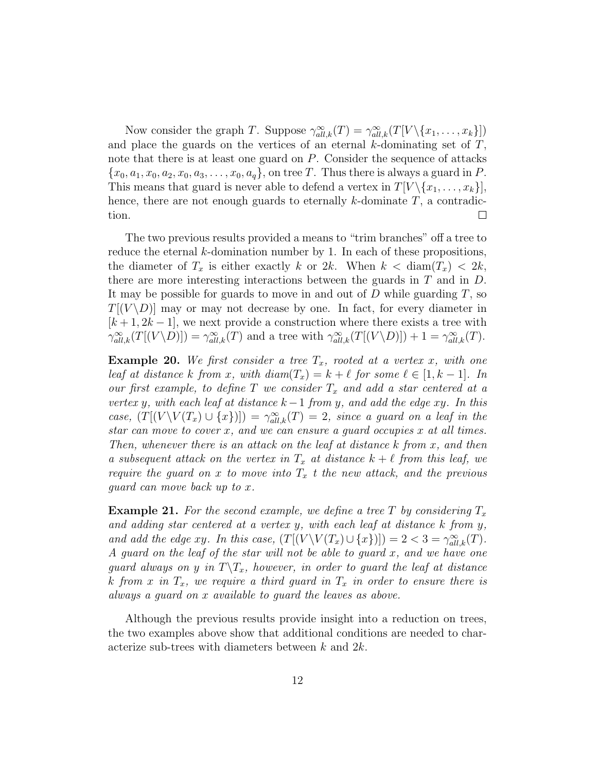Now consider the graph T. Suppose  $\gamma_{all,k}^{\infty}(T) = \gamma_{all,k}^{\infty}(T[V \setminus \{x_1, \ldots, x_k\}])$ and place the guards on the vertices of an eternal  $k$ -dominating set of  $T$ , note that there is at least one guard on P. Consider the sequence of attacks  ${x_0, a_1, x_0, a_2, x_0, a_3, \ldots, x_0, a_q}$ , on tree T. Thus there is always a guard in P. This means that guard is never able to defend a vertex in  $T[V \setminus \{x_1, \ldots, x_k\}],$ hence, there are not enough guards to eternally  $k$ -dominate  $T$ , a contradiction.  $\Box$ 

The two previous results provided a means to "trim branches" off a tree to reduce the eternal  $k$ -domination number by 1. In each of these propositions, the diameter of  $T_x$  is either exactly k or 2k. When  $k <$  diam $(T_x) < 2k$ , there are more interesting interactions between the guards in  $T$  and in  $D$ . It may be possible for guards to move in and out of  $D$  while guarding  $T$ , so  $T[(V \backslash D)]$  may or may not decrease by one. In fact, for every diameter in  $[k+1, 2k-1]$ , we next provide a construction where there exists a tree with  $\gamma_{all,k}^{\infty}(T[(V \setminus D)]) = \gamma_{all,k}^{\infty}(T)$  and a tree with  $\gamma_{all,k}^{\infty}(T[(V \setminus D)]) + 1 = \gamma_{all,k}^{\infty}(T)$ .

**Example 20.** We first consider a tree  $T_x$ , rooted at a vertex x, with one leaf at distance k from x, with  $diam(T_x) = k + \ell$  for some  $\ell \in [1, k - 1]$ . In our first example, to define T we consider  $T_x$  and add a star centered at a vertex y, with each leaf at distance  $k-1$  from y, and add the edge xy. In this case,  $(T[(V \setminus V(T_x) \cup \{x\})]) = \gamma_{all,k}^{\infty}(T) = 2$ , since a guard on a leaf in the star can move to cover x, and we can ensure a guard occupies x at all times. Then, whenever there is an attack on the leaf at distance  $k$  from  $x$ , and then a subsequent attack on the vertex in  $T_x$  at distance  $k + \ell$  from this leaf, we require the guard on x to move into  $T_x$  t the new attack, and the previous guard can move back up to x.

**Example 21.** For the second example, we define a tree T by considering  $T_x$ and adding star centered at a vertex  $y$ , with each leaf at distance  $k$  from  $y$ , and add the edge xy. In this case,  $(T[(V \setminus V(T_x) \cup \{x\})]) = 2 < 3 = \gamma_{all,k}^{\infty}(T)$ . A guard on the leaf of the star will not be able to guard x, and we have one guard always on y in  $T\backslash T_x$ , however, in order to guard the leaf at distance k from x in  $T_x$ , we require a third guard in  $T_x$  in order to ensure there is always a guard on x available to guard the leaves as above.

Although the previous results provide insight into a reduction on trees, the two examples above show that additional conditions are needed to characterize sub-trees with diameters between k and 2k.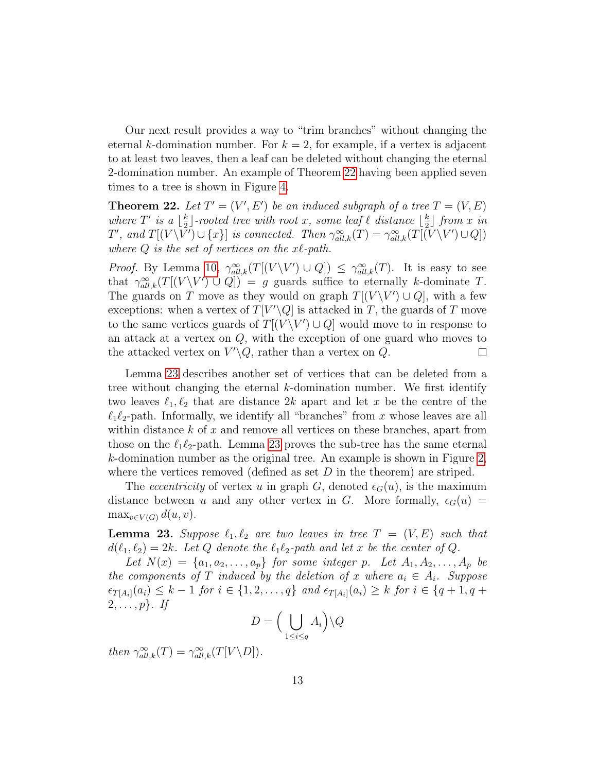Our next result provides a way to "trim branches" without changing the eternal k-domination number. For  $k = 2$ , for example, if a vertex is adjacent to at least two leaves, then a leaf can be deleted without changing the eternal 2-domination number. An example of Theorem [22](#page-12-0) having been applied seven times to a tree is shown in Figure [4.](#page-21-0)

<span id="page-12-0"></span>**Theorem 22.** Let  $T' = (V', E')$  be an induced subgraph of a tree  $T = (V, E)$ where T' is a  $\frac{k}{2}$  $\frac{k}{2}$ ]-rooted tree with root x, some leaf  $\ell$  distance  $\lfloor \frac{k}{2} \rfloor$  $\frac{k}{2}$ ] from x in T', and  $T[(V\backslash \bar{V}') \cup \{x\}]$  is connected. Then  $\gamma_{all,k}^{\infty}(T) = \gamma_{all,k}^{\infty}(T[(\bar{V}\backslash V') \cup Q])$ where  $Q$  is the set of vertices on the  $x\ell$ -path.

*Proof.* By Lemma [10,](#page-6-2)  $\gamma_{all,k}^{\infty}(T[(V \setminus V') \cup Q]) \leq \gamma_{all,k}^{\infty}(T)$ . It is easy to see that  $\gamma_{all,k}^{\infty}(T[(V \setminus V') \cup Q]) = g$  guards suffice to eternally k-dominate T. The guards on T move as they would on graph  $T[(V \ Y') \cup Q]$ , with a few exceptions: when a vertex of  $T[V'\backslash Q]$  is attacked in T, the guards of T move to the same vertices guards of  $T[(V \ Y') \cup Q]$  would move to in response to an attack at a vertex on  $Q$ , with the exception of one guard who moves to the attacked vertex on  $V'\backslash Q$ , rather than a vertex on  $Q$ .  $\Box$ 

Lemma [23](#page-12-1) describes another set of vertices that can be deleted from a tree without changing the eternal k-domination number. We first identify two leaves  $\ell_1, \ell_2$  that are distance 2k apart and let x be the centre of the  $\ell_1\ell_2$ -path. Informally, we identify all "branches" from x whose leaves are all within distance  $k$  of  $x$  and remove all vertices on these branches, apart from those on the  $\ell_1\ell_2$ -path. Lemma [23](#page-12-1) proves the sub-tree has the same eternal k-domination number as the original tree. An example is shown in Figure [2,](#page-13-0) where the vertices removed (defined as set  $D$  in the theorem) are striped.

The *eccentricity* of vertex u in graph G, denoted  $\epsilon_G(u)$ , is the maximum distance between u and any other vertex in G. More formally,  $\epsilon_G(u)$  =  $\max_{v \in V(G)} d(u, v).$ 

<span id="page-12-1"></span>**Lemma 23.** Suppose  $\ell_1, \ell_2$  are two leaves in tree  $T = (V, E)$  such that  $d(\ell_1, \ell_2) = 2k$ . Let Q denote the  $\ell_1\ell_2$ -path and let x be the center of Q.

Let  $N(x) = \{a_1, a_2, \ldots, a_p\}$  for some integer p. Let  $A_1, A_2, \ldots, A_p$  be the components of T induced by the deletion of x where  $a_i \in A_i$ . Suppose  $\epsilon_{T[A_i]}(a_i) \leq k-1$  for  $i \in \{1,2,\ldots,q\}$  and  $\epsilon_{T[A_i]}(a_i) \geq k$  for  $i \in \{q+1,q+1\}$  $2, \ldots, p$ . If

$$
D = \left(\bigcup_{1 \le i \le q} A_i\right) \backslash Q
$$

then  $\gamma_{all,k}^{\infty}(T) = \gamma_{all,k}^{\infty}(T[V \backslash D]).$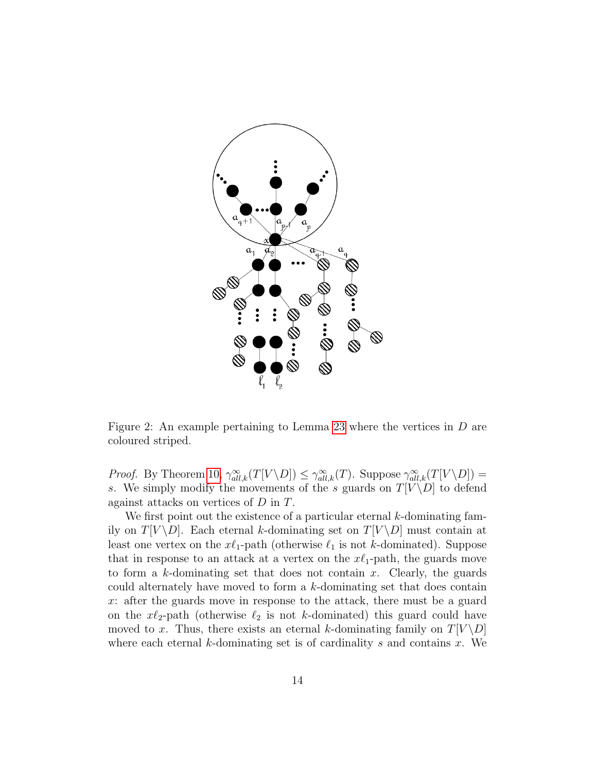

<span id="page-13-0"></span>Figure 2: An example pertaining to Lemma [23](#page-12-1) where the vertices in D are coloured striped.

*Proof.* By Theorem [10,](#page-6-2)  $\gamma_{all,k}^{\infty}(T[V \setminus D]) \leq \gamma_{all,k}^{\infty}(T)$ . Suppose  $\gamma_{all,k}^{\infty}(T[V \setminus D])$  = s. We simply modify the movements of the s guards on  $T[V \backslash D]$  to defend against attacks on vertices of D in T.

We first point out the existence of a particular eternal  $k$ -dominating family on  $T[V \backslash D]$ . Each eternal k-dominating set on  $T[V \backslash D]$  must contain at least one vertex on the  $x\ell_1$ -path (otherwise  $\ell_1$  is not k-dominated). Suppose that in response to an attack at a vertex on the  $x\ell_1$ -path, the guards move to form a k-dominating set that does not contain x. Clearly, the guards could alternately have moved to form a k-dominating set that does contain x: after the guards move in response to the attack, there must be a guard on the  $x\ell_2$ -path (otherwise  $\ell_2$  is not k-dominated) this guard could have moved to x. Thus, there exists an eternal k-dominating family on  $T[V \backslash D]$ where each eternal k-dominating set is of cardinality s and contains  $x$ . We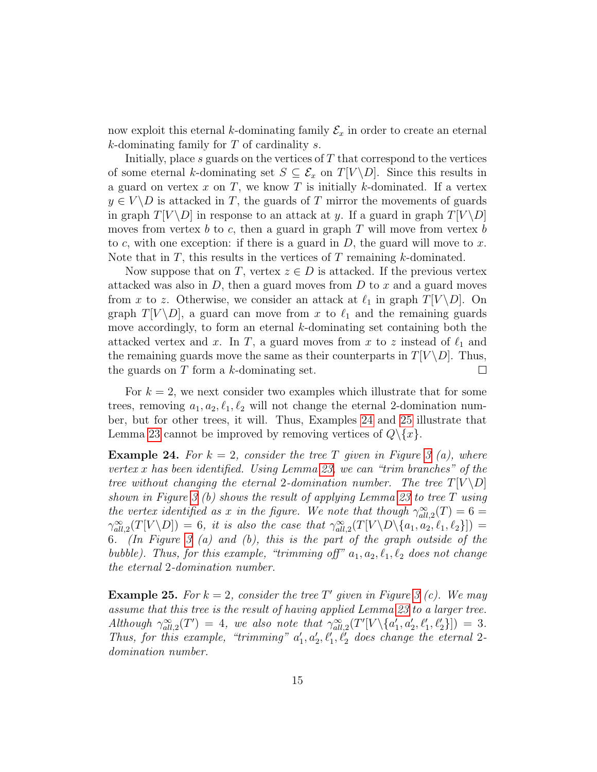now exploit this eternal k-dominating family  $\mathcal{E}_x$  in order to create an eternal  $k$ -dominating family for  $T$  of cardinality  $s$ .

Initially, place  $s$  guards on the vertices of  $T$  that correspond to the vertices of some eternal k-dominating set  $S \subseteq \mathcal{E}_x$  on  $T[V \backslash D]$ . Since this results in a guard on vertex  $x$  on  $T$ , we know  $T$  is initially  $k$ -dominated. If a vertex  $y \in V \backslash D$  is attacked in T, the guards of T mirror the movements of guards in graph  $T[V \backslash D]$  in response to an attack at y. If a guard in graph  $T[V \backslash D]$ moves from vertex b to c, then a guard in graph  $T$  will move from vertex b to c, with one exception: if there is a guard in  $D$ , the guard will move to x. Note that in  $T$ , this results in the vertices of  $T$  remaining  $k$ -dominated.

Now suppose that on T, vertex  $z \in D$  is attacked. If the previous vertex attacked was also in  $D$ , then a guard moves from  $D$  to x and a guard moves from x to z. Otherwise, we consider an attack at  $\ell_1$  in graph  $T[V \backslash D]$ . On graph  $T[V \ D]$ , a guard can move from x to  $\ell_1$  and the remaining guards move accordingly, to form an eternal  $k$ -dominating set containing both the attacked vertex and x. In T, a guard moves from x to z instead of  $\ell_1$  and the remaining guards move the same as their counterparts in  $T[V \backslash D]$ . Thus, the guards on  $T$  form a  $k$ -dominating set.  $\Box$ 

For  $k = 2$ , we next consider two examples which illustrate that for some trees, removing  $a_1, a_2, \ell_1, \ell_2$  will not change the eternal 2-domination number, but for other trees, it will. Thus, Examples [24](#page-14-0) and [25](#page-14-1) illustrate that Lemma [23](#page-12-1) cannot be improved by removing vertices of  $Q \setminus \{x\}$ .

<span id="page-14-0"></span>**Example 24.** For  $k = 2$ , consider the tree T given in Figure [3](#page-15-1) (a), where vertex x has been identified. Using Lemma [23,](#page-12-1) we can "trim branches" of the tree without changing the eternal 2-domination number. The tree  $T[V \backslash D]$ shown in Figure [3](#page-15-1) (b) shows the result of applying Lemma [23](#page-12-1) to tree  $T$  using the vertex identified as x in the figure. We note that though  $\gamma_{all,2}^{\infty}(T) = 6 =$  $\gamma_{all,2}^{\infty}(T[V \setminus D]) = 6$ , it is also the case that  $\gamma_{all,2}^{\infty}(T[V \setminus D \setminus \{a_1, a_2, \ell_1, \ell_2\}]) =$ 6. (In Figure [3](#page-15-1) (a) and (b), this is the part of the graph outside of the bubble). Thus, for this example, "trimming off"  $a_1, a_2, \ell_1, \ell_2$  does not change the eternal 2-domination number.

<span id="page-14-1"></span>**Example 25.** For  $k = 2$ , consider the tree T' given in Figure [3](#page-15-1) (c). We may assume that this tree is the result of having applied Lemma [23](#page-12-1) to a larger tree. Although  $\gamma_{all,2}^{\infty}(T') = 4$ , we also note that  $\gamma_{all,2}^{\infty}(T'[V \setminus \{a'_1, a'_2, \ell'_1, \ell'_2\}]) = 3$ . Thus, for this example, "trimming"  $a'_1, a'_2, \ell'_1, \ell'_2$  does change the eternal 2domination number.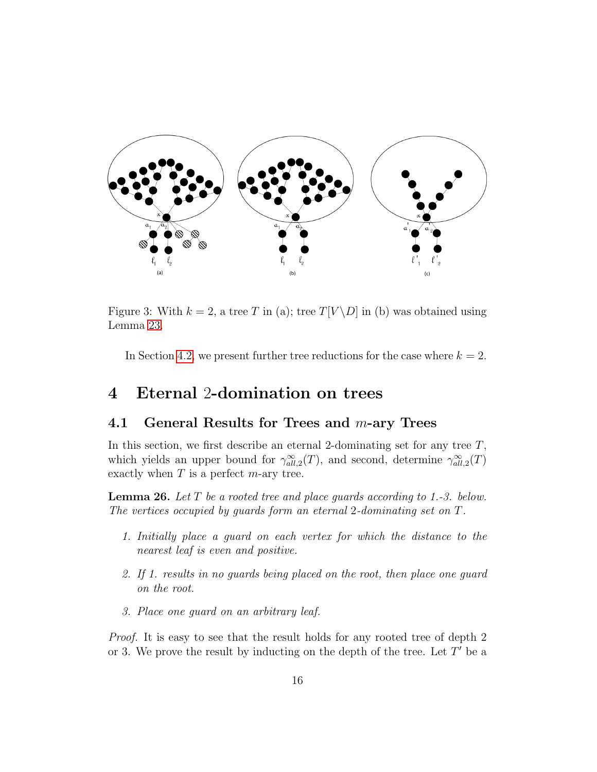

<span id="page-15-1"></span>Figure 3: With  $k = 2$ , a tree T in (a); tree  $T[V \ D]$  in (b) was obtained using Lemma [23.](#page-12-1)

In Section [4.2,](#page-20-0) we present further tree reductions for the case where  $k = 2$ .

## <span id="page-15-0"></span>4 Eternal 2-domination on trees

#### 4.1 General Results for Trees and  $m$ -ary Trees

In this section, we first describe an eternal 2-dominating set for any tree  $T$ , which yields an upper bound for  $\gamma_{all,2}^{\infty}(T)$ , and second, determine  $\gamma_{all,2}^{\infty}(T)$ exactly when  $T$  is a perfect  $m$ -ary tree.

<span id="page-15-2"></span>**Lemma 26.** Let  $T$  be a rooted tree and place quards according to 1.-3. below. The vertices occupied by guards form an eternal 2-dominating set on T.

- 1. Initially place a guard on each vertex for which the distance to the nearest leaf is even and positive.
- 2. If 1. results in no guards being placed on the root, then place one guard on the root.
- 3. Place one guard on an arbitrary leaf.

Proof. It is easy to see that the result holds for any rooted tree of depth 2 or 3. We prove the result by inducting on the depth of the tree. Let  $T'$  be a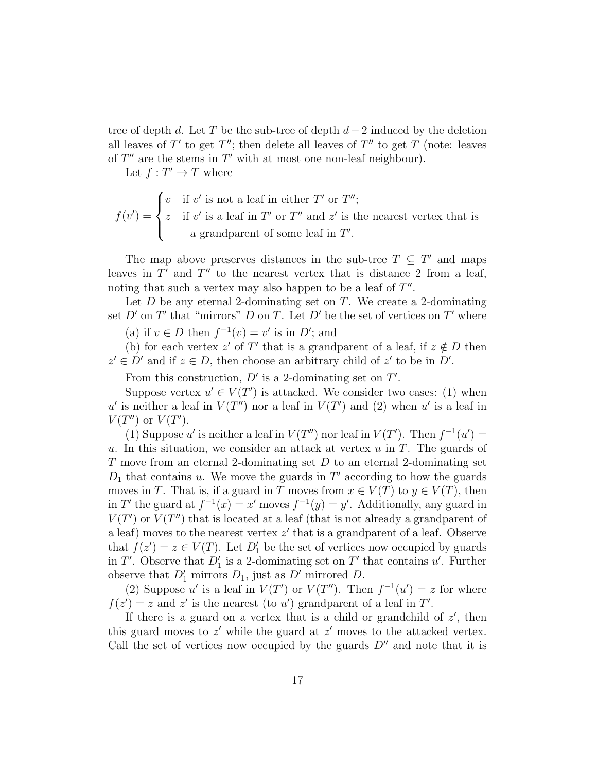tree of depth d. Let T be the sub-tree of depth  $d-2$  induced by the deletion all leaves of T' to get T''; then delete all leaves of T'' to get T (note: leaves of  $T''$  are the stems in  $T'$  with at most one non-leaf neighbour).

Let  $f: T' \to T$  where

$$
f(v') = \begin{cases} v & \text{if } v' \text{ is not a leaf in either } T' \text{ or } T''; \\ z & \text{if } v' \text{ is a leaf in } T' \text{ or } T'' \text{ and } z' \text{ is the nearest vertex that is} \\ a \text{ grandparent of some leaf in } T'. \end{cases}
$$

The map above preserves distances in the sub-tree  $T \subseteq T'$  and maps leaves in  $T'$  and  $T''$  to the nearest vertex that is distance 2 from a leaf, noting that such a vertex may also happen to be a leaf of  $T''$ .

Let  $D$  be any eternal 2-dominating set on  $T$ . We create a 2-dominating set D' on T' that "mirrors" D on T. Let D' be the set of vertices on T' where

(a) if  $v \in D$  then  $f^{-1}(v) = v'$  is in D'; and

(b) for each vertex z' of T' that is a grandparent of a leaf, if  $z \notin D$  then  $z' \in D'$  and if  $z \in D$ , then choose an arbitrary child of  $z'$  to be in D'.

From this construction,  $D'$  is a 2-dominating set on  $T'$ .

Suppose vertex  $u' \in V(T')$  is attacked. We consider two cases: (1) when u' is neither a leaf in  $V(T'')$  nor a leaf in  $V(T')$  and (2) when u' is a leaf in  $V(T'')$  or  $V(T')$ .

(1) Suppose u' is neither a leaf in  $V(T'')$  nor leaf in  $V(T')$ . Then  $f^{-1}(u') =$ u. In this situation, we consider an attack at vertex  $u$  in  $T$ . The guards of T move from an eternal 2-dominating set D to an eternal 2-dominating set  $D_1$  that contains u. We move the guards in T' according to how the guards moves in T. That is, if a guard in T moves from  $x \in V(T)$  to  $y \in V(T)$ , then in T' the guard at  $f^{-1}(x) = x'$  moves  $f^{-1}(y) = y'$ . Additionally, any guard in  $V(T')$  or  $V(T'')$  that is located at a leaf (that is not already a grandparent of a leaf) moves to the nearest vertex  $z'$  that is a grandparent of a leaf. Observe that  $f(z') = z \in V(T)$ . Let  $D'_1$  be the set of vertices now occupied by guards in T'. Observe that  $D'_1$  is a 2-dominating set on T' that contains u'. Further observe that  $D'_1$  mirrors  $D_1$ , just as  $D'$  mirrored  $D$ .

(2) Suppose u' is a leaf in  $V(T')$  or  $V(T'')$ . Then  $f^{-1}(u') = z$  for where  $f(z') = z$  and z' is the nearest (to u') grandparent of a leaf in T'.

If there is a guard on a vertex that is a child or grandchild of  $z'$ , then this guard moves to  $z'$  while the guard at  $z'$  moves to the attacked vertex. Call the set of vertices now occupied by the guards  $D''$  and note that it is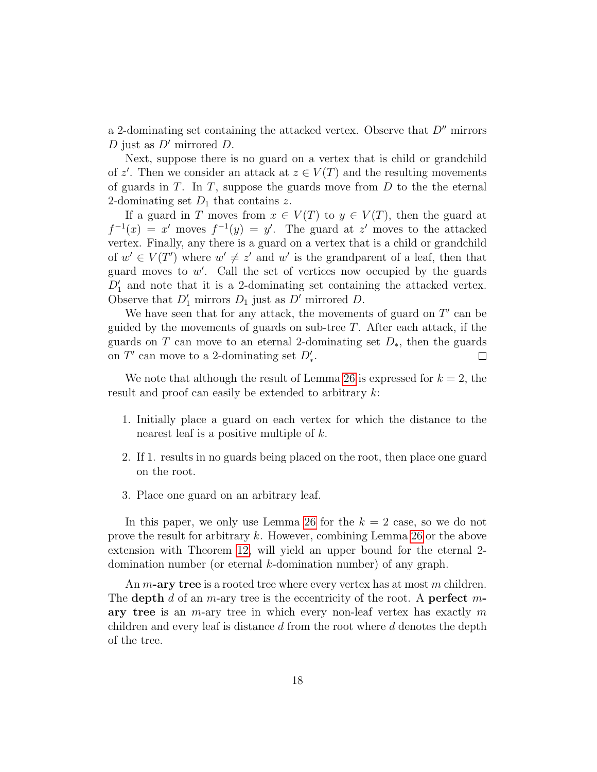a 2-dominating set containing the attacked vertex. Observe that  $D<sup>u</sup>$  mirrors D just as  $D'$  mirrored D.

Next, suppose there is no guard on a vertex that is child or grandchild of z'. Then we consider an attack at  $z \in V(T)$  and the resulting movements of guards in  $T$ . In  $T$ , suppose the guards move from  $D$  to the the eternal 2-dominating set  $D_1$  that contains z.

If a guard in T moves from  $x \in V(T)$  to  $y \in V(T)$ , then the guard at  $f^{-1}(x) = x'$  moves  $f^{-1}(y) = y'$ . The guard at z' moves to the attacked vertex. Finally, any there is a guard on a vertex that is a child or grandchild of  $w' \in V(T')$  where  $w' \neq z'$  and w' is the grandparent of a leaf, then that guard moves to  $w'$ . Call the set of vertices now occupied by the guards  $D'_1$  and note that it is a 2-dominating set containing the attacked vertex. Observe that  $D'_1$  mirrors  $D_1$  just as  $D'$  mirrored  $D$ .

We have seen that for any attack, the movements of guard on  $T'$  can be guided by the movements of guards on sub-tree  $T$ . After each attack, if the guards on T can move to an eternal 2-dominating set  $D_*$ , then the guards on  $T'$  can move to a 2-dominating set  $D'_*$ .  $\Box$ 

We note that although the result of Lemma [26](#page-15-2) is expressed for  $k = 2$ , the result and proof can easily be extended to arbitrary k:

- 1. Initially place a guard on each vertex for which the distance to the nearest leaf is a positive multiple of k.
- 2. If 1. results in no guards being placed on the root, then place one guard on the root.
- 3. Place one guard on an arbitrary leaf.

In this paper, we only use Lemma [26](#page-15-2) for the  $k = 2$  case, so we do not prove the result for arbitrary k. However, combining Lemma [26](#page-15-2) or the above extension with Theorem [12,](#page-7-0) will yield an upper bound for the eternal 2 domination number (or eternal k-domination number) of any graph.

An  $m$ -ary tree is a rooted tree where every vertex has at most  $m$  children. The depth d of an m-ary tree is the eccentricity of the root. A perfect mary tree is an  $m$ -ary tree in which every non-leaf vertex has exactly  $m$ children and every leaf is distance  $d$  from the root where  $d$  denotes the depth of the tree.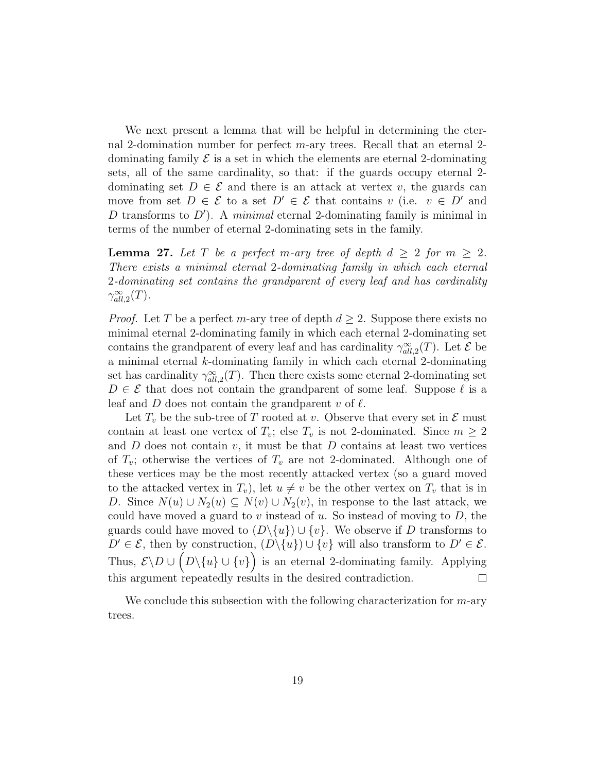We next present a lemma that will be helpful in determining the eternal 2-domination number for perfect  $m$ -ary trees. Recall that an eternal 2dominating family  $\mathcal E$  is a set in which the elements are eternal 2-dominating sets, all of the same cardinality, so that: if the guards occupy eternal 2 dominating set  $D \in \mathcal{E}$  and there is an attack at vertex v, the guards can move from set  $D \in \mathcal{E}$  to a set  $D' \in \mathcal{E}$  that contains v (i.e.  $v \in D'$  and D transforms to  $D'$ ). A minimal eternal 2-dominating family is minimal in terms of the number of eternal 2-dominating sets in the family.

<span id="page-18-0"></span>**Lemma 27.** Let T be a perfect m-ary tree of depth  $d \geq 2$  for  $m \geq 2$ . There exists a minimal eternal 2-dominating family in which each eternal 2-dominating set contains the grandparent of every leaf and has cardinality  $\gamma_{all,2}^{\infty}(T)$ .

*Proof.* Let T be a perfect m-ary tree of depth  $d \geq 2$ . Suppose there exists no minimal eternal 2-dominating family in which each eternal 2-dominating set contains the grandparent of every leaf and has cardinality  $\gamma_{all,2}^{\infty}(T)$ . Let  $\mathcal E$  be a minimal eternal k-dominating family in which each eternal 2-dominating set has cardinality  $\gamma_{all,2}^{\infty}(T)$ . Then there exists some eternal 2-dominating set  $D \in \mathcal{E}$  that does not contain the grandparent of some leaf. Suppose  $\ell$  is a leaf and  $D$  does not contain the grandparent  $v$  of  $\ell$ .

Let  $T_v$  be the sub-tree of T rooted at v. Observe that every set in  $\mathcal E$  must contain at least one vertex of  $T_v$ ; else  $T_v$  is not 2-dominated. Since  $m \geq 2$ and  $D$  does not contain  $v$ , it must be that  $D$  contains at least two vertices of  $T_v$ ; otherwise the vertices of  $T_v$  are not 2-dominated. Although one of these vertices may be the most recently attacked vertex (so a guard moved to the attacked vertex in  $T_v$ ), let  $u \neq v$  be the other vertex on  $T_v$  that is in D. Since  $N(u) \cup N_2(u) \subseteq N(v) \cup N_2(v)$ , in response to the last attack, we could have moved a guard to v instead of u. So instead of moving to  $D$ , the guards could have moved to  $(D\setminus\{u\})\cup\{v\}$ . We observe if D transforms to  $D' \in \mathcal{E}$ , then by construction,  $(D \setminus \{u\}) \cup \{v\}$  will also transform to  $D' \in \mathcal{E}$ . Thus,  $\mathcal{E} \backslash D \cup (D \backslash \{u\} \cup \{v\})$  is an eternal 2-dominating family. Applying this argument repeatedly results in the desired contradiction.  $\Box$ 

We conclude this subsection with the following characterization for  $m$ -ary trees.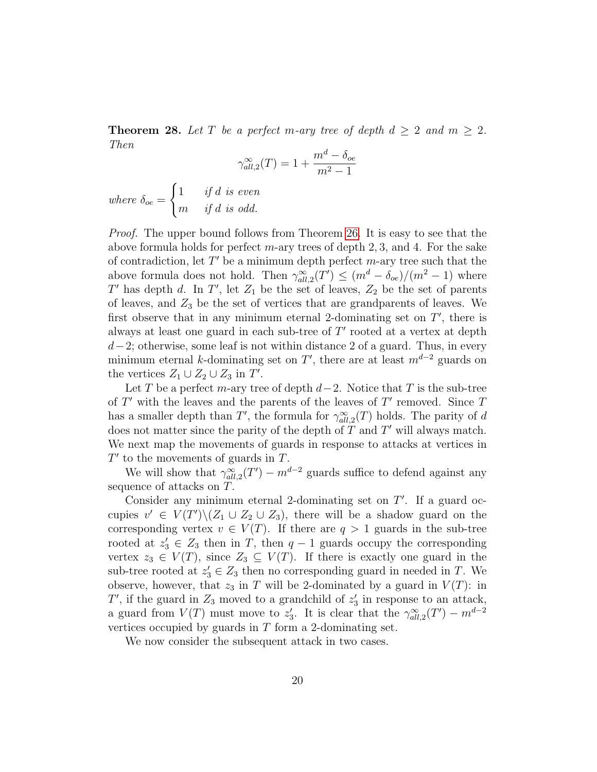**Theorem 28.** Let T be a perfect m-ary tree of depth  $d \geq 2$  and  $m \geq 2$ . Then

$$
\gamma_{all,2}^{\infty}(T) = 1 + \frac{m^d - \delta_{oe}}{m^2 - 1}
$$

where  $\delta_{oe} =$  $\int 1$  if d is even m if d is odd.

Proof. The upper bound follows from Theorem [26.](#page-15-2) It is easy to see that the above formula holds for perfect  $m$ -ary trees of depth 2, 3, and 4. For the sake of contradiction, let  $T'$  be a minimum depth perfect m-ary tree such that the above formula does not hold. Then  $\gamma_{all,2}^{\infty}(T') \leq (m^d - \delta_{oe})/(m^2 - 1)$  where T' has depth d. In T', let  $Z_1$  be the set of leaves,  $Z_2$  be the set of parents of leaves, and  $Z_3$  be the set of vertices that are grandparents of leaves. We first observe that in any minimum eternal 2-dominating set on  $T'$ , there is always at least one guard in each sub-tree of  $T'$  rooted at a vertex at depth  $d-2$ ; otherwise, some leaf is not within distance 2 of a guard. Thus, in every minimum eternal k-dominating set on T', there are at least  $m^{d-2}$  guards on the vertices  $Z_1 \cup Z_2 \cup Z_3$  in  $T'$ .

Let T be a perfect m-ary tree of depth  $d-2$ . Notice that T is the sub-tree of  $T'$  with the leaves and the parents of the leaves of  $T'$  removed. Since  $T$ has a smaller depth than T', the formula for  $\gamma_{all,2}^{\infty}(T)$  holds. The parity of d does not matter since the parity of the depth of  $T$  and  $T'$  will always match. We next map the movements of guards in response to attacks at vertices in  $T'$  to the movements of guards in  $T$ .

We will show that  $\gamma_{all,2}^{\infty}(T') - m^{d-2}$  guards suffice to defend against any sequence of attacks on T.

Consider any minimum eternal 2-dominating set on  $T'$ . If a guard occupies  $v' \in V(T')\backslash (Z_1 \cup Z_2 \cup Z_3)$ , there will be a shadow guard on the corresponding vertex  $v \in V(T)$ . If there are  $q > 1$  guards in the sub-tree rooted at  $z'_3 \in Z_3$  then in T, then  $q-1$  guards occupy the corresponding vertex  $z_3 \in V(T)$ , since  $Z_3 \subseteq V(T)$ . If there is exactly one guard in the sub-tree rooted at  $z_3 \in Z_3$  then no corresponding guard in needed in T. We observe, however, that  $z_3$  in T will be 2-dominated by a guard in  $V(T)$ : in  $T'$ , if the guard in  $Z_3$  moved to a grandchild of  $z'_3$  in response to an attack, a guard from  $V(T)$  must move to  $z_3'$ . It is clear that the  $\gamma_{all,2}^{\infty}(T') - m^{d-2}$ vertices occupied by guards in  $T$  form a 2-dominating set.

We now consider the subsequent attack in two cases.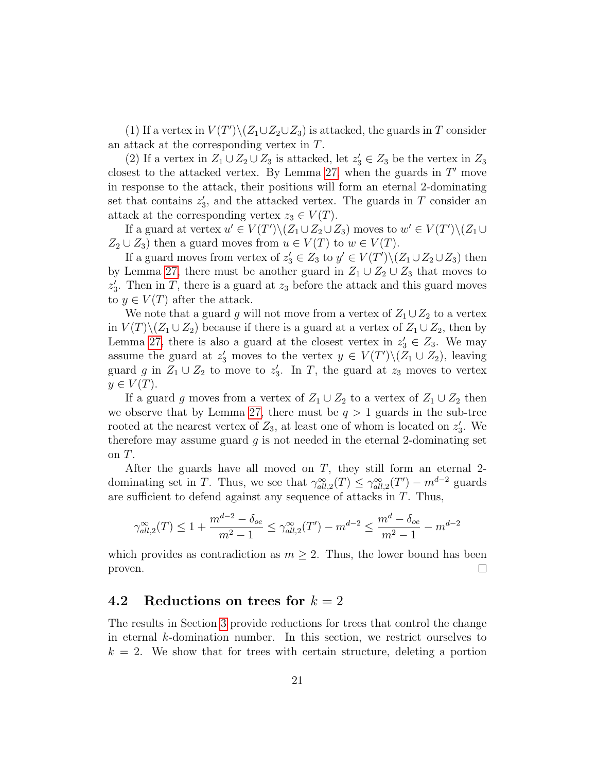(1) If a vertex in  $V(T')\setminus (Z_1\cup Z_2\cup Z_3)$  is attacked, the guards in T consider an attack at the corresponding vertex in T.

(2) If a vertex in  $Z_1 \cup Z_2 \cup Z_3$  is attacked, let  $z'_3 \in Z_3$  be the vertex in  $Z_3$ closest to the attacked vertex. By Lemma [27,](#page-18-0) when the guards in  $T'$  move in response to the attack, their positions will form an eternal 2-dominating set that contains  $z'_3$ , and the attacked vertex. The guards in T consider an attack at the corresponding vertex  $z_3 \in V(T)$ .

If a guard at vertex  $u' \in V(T') \setminus (Z_1 \cup Z_2 \cup Z_3)$  moves to  $w' \in V(T') \setminus (Z_1 \cup Z_2 \cup Z_3)$  $Z_2 \cup Z_3$ ) then a guard moves from  $u \in V(T)$  to  $w \in V(T)$ .

If a guard moves from vertex of  $z_3' \in Z_3$  to  $y' \in V(T') \setminus (Z_1 \cup Z_2 \cup Z_3)$  then by Lemma [27,](#page-18-0) there must be another guard in  $Z_1 \cup Z_2 \cup Z_3$  that moves to  $z_3'$ . Then in T, there is a guard at  $z_3$  before the attack and this guard moves to  $y \in V(T)$  after the attack.

We note that a guard g will not move from a vertex of  $Z_1 \cup Z_2$  to a vertex in  $V(T)\setminus (Z_1 \cup Z_2)$  because if there is a guard at a vertex of  $Z_1 \cup Z_2$ , then by Lemma [27,](#page-18-0) there is also a guard at the closest vertex in  $z'_3 \in Z_3$ . We may assume the guard at  $z'_3$  moves to the vertex  $y \in V(T') \setminus (Z_1 \cup Z_2)$ , leaving guard g in  $Z_1 \cup Z_2$  to move to  $z'_3$ . In T, the guard at  $z_3$  moves to vertex  $y \in V(T)$ .

If a guard g moves from a vertex of  $Z_1 \cup Z_2$  to a vertex of  $Z_1 \cup Z_2$  then we observe that by Lemma [27,](#page-18-0) there must be  $q > 1$  guards in the sub-tree rooted at the nearest vertex of  $Z_3$ , at least one of whom is located on  $z'_3$ . We therefore may assume guard  $q$  is not needed in the eternal 2-dominating set on T.

After the guards have all moved on  $T$ , they still form an eternal 2dominating set in T. Thus, we see that  $\gamma_{all,2}^{\infty}(T) \leq \gamma_{all,2}^{\infty}(T') - m^{d-2}$  guards are sufficient to defend against any sequence of attacks in T. Thus,

$$
\gamma_{all,2}^{\infty}(T) \le 1 + \frac{m^{d-2} - \delta_{oe}}{m^2 - 1} \le \gamma_{all,2}^{\infty}(T') - m^{d-2} \le \frac{m^d - \delta_{oe}}{m^2 - 1} - m^{d-2}
$$

which provides as contradiction as  $m \geq 2$ . Thus, the lower bound has been proven.  $\Box$ 

#### <span id="page-20-0"></span>4.2 Reductions on trees for  $k = 2$

The results in Section [3](#page-8-0) provide reductions for trees that control the change in eternal k-domination number. In this section, we restrict ourselves to  $k = 2$ . We show that for trees with certain structure, deleting a portion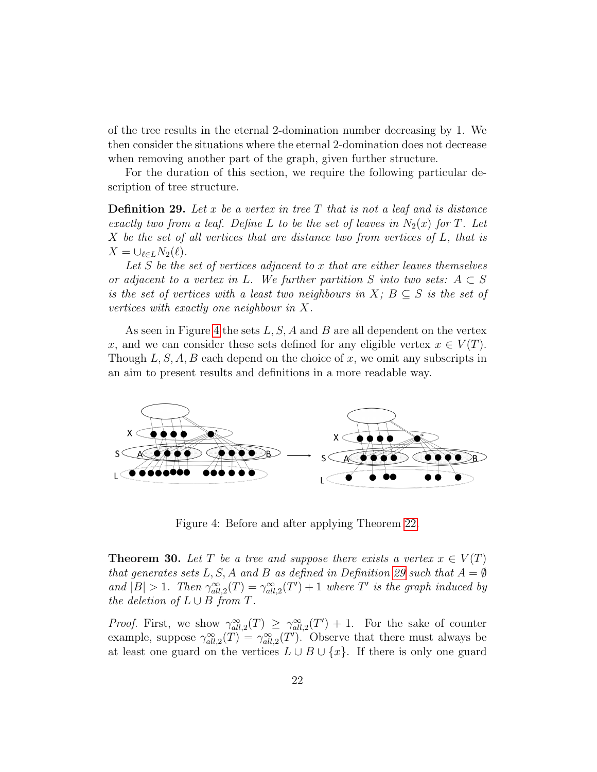of the tree results in the eternal 2-domination number decreasing by 1. We then consider the situations where the eternal 2-domination does not decrease when removing another part of the graph, given further structure.

For the duration of this section, we require the following particular description of tree structure.

<span id="page-21-1"></span>**Definition 29.** Let x be a vertex in tree T that is not a leaf and is distance exactly two from a leaf. Define L to be the set of leaves in  $N_2(x)$  for T. Let  $X$  be the set of all vertices that are distance two from vertices of  $L$ , that is  $X = \bigcup_{\ell \in L} N_2(\ell).$ 

Let  $S$  be the set of vertices adjacent to  $x$  that are either leaves themselves or adjacent to a vertex in L. We further partition S into two sets:  $A \subset S$ is the set of vertices with a least two neighbours in X;  $B \subseteq S$  is the set of vertices with exactly one neighbour in X.

As seen in Figure [4](#page-21-0) the sets  $L, S, A$  and B are all dependent on the vertex x, and we can consider these sets defined for any eligible vertex  $x \in V(T)$ . Though  $L, S, A, B$  each depend on the choice of x, we omit any subscripts in an aim to present results and definitions in a more readable way.



<span id="page-21-0"></span>Figure 4: Before and after applying Theorem [22.](#page-12-0)

<span id="page-21-2"></span>**Theorem 30.** Let T be a tree and suppose there exists a vertex  $x \in V(T)$ that generates sets L, S, A and B as defined in Definition [29](#page-21-1) such that  $A = \emptyset$ and  $|B| > 1$ . Then  $\gamma_{all,2}^{\infty}(T) = \gamma_{all,2}^{\infty}(T') + 1$  where T' is the graph induced by the deletion of  $L \cup B$  from  $T$ .

*Proof.* First, we show  $\gamma_{all,2}^{\infty}(T) \geq \gamma_{all,2}^{\infty}(T') + 1$ . For the sake of counter example, suppose  $\gamma_{all,2}^{\infty}(T) = \gamma_{all,2}^{\infty}(T')$ . Observe that there must always be at least one guard on the vertices  $L \cup B \cup \{x\}$ . If there is only one guard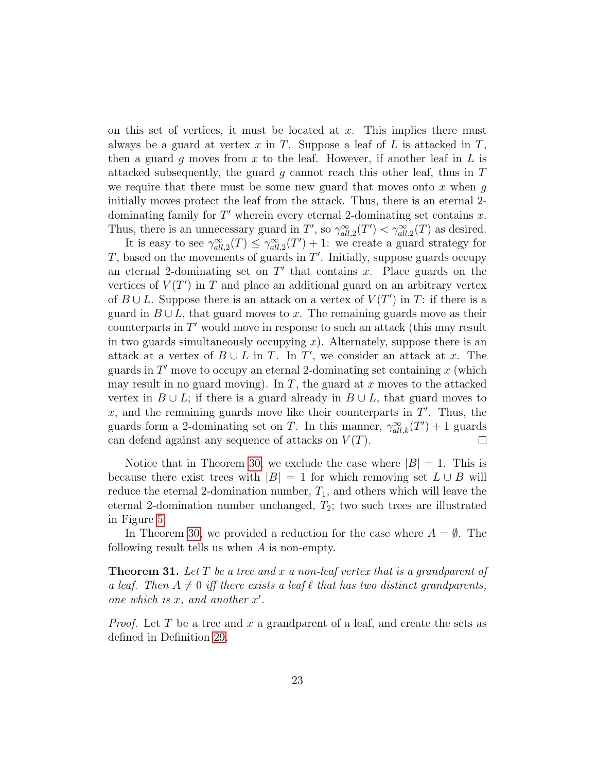on this set of vertices, it must be located at  $x$ . This implies there must always be a guard at vertex x in T. Suppose a leaf of L is attacked in  $T$ , then a guard g moves from x to the leaf. However, if another leaf in  $L$  is attacked subsequently, the guard g cannot reach this other leaf, thus in  $T$ we require that there must be some new guard that moves onto  $x$  when  $g$ initially moves protect the leaf from the attack. Thus, there is an eternal 2 dominating family for  $T'$  wherein every eternal 2-dominating set contains  $x$ . Thus, there is an unnecessary guard in T', so  $\gamma_{all,2}^{\infty}(T') < \gamma_{all,2}^{\infty}(T)$  as desired.

It is easy to see  $\gamma_{all,2}^{\infty}(T) \leq \gamma_{all,2}^{\infty}(T') + 1$ : we create a guard strategy for  $T$ , based on the movements of guards in  $T'$ . Initially, suppose guards occupy an eternal 2-dominating set on  $T'$  that contains x. Place guards on the vertices of  $V(T')$  in T and place an additional guard on an arbitrary vertex of  $B \cup L$ . Suppose there is an attack on a vertex of  $V(T')$  in T: if there is a guard in  $B \cup L$ , that guard moves to x. The remaining guards move as their counterparts in  $T'$  would move in response to such an attack (this may result in two guards simultaneously occupying  $x$ ). Alternately, suppose there is an attack at a vertex of  $B \cup L$  in T. In T', we consider an attack at x. The guards in  $T'$  move to occupy an eternal 2-dominating set containing x (which may result in no guard moving). In T, the guard at x moves to the attacked vertex in  $B \cup L$ ; if there is a guard already in  $B \cup L$ , that guard moves to  $x$ , and the remaining guards move like their counterparts in  $T'$ . Thus, the guards form a 2-dominating set on T. In this manner,  $\gamma_{all,k}^{\infty}(T') + 1$  guards can defend against any sequence of attacks on  $V(T)$ .  $\Box$ 

Notice that in Theorem [30,](#page-21-2) we exclude the case where  $|B| = 1$ . This is because there exist trees with  $|B| = 1$  for which removing set  $L \cup B$  will reduce the eternal 2-domination number,  $T_1$ , and others which will leave the eternal 2-domination number unchanged,  $T_2$ ; two such trees are illustrated in Figure [5.](#page-23-0)

In Theorem [30,](#page-21-2) we provided a reduction for the case where  $A = \emptyset$ . The following result tells us when A is non-empty.

**Theorem 31.** Let T be a tree and x a non-leaf vertex that is a grandparent of a leaf. Then  $A \neq 0$  iff there exists a leaf  $\ell$  that has two distinct grandparents, one which is  $x$ , and another  $x'$ .

*Proof.* Let T be a tree and x a grandparent of a leaf, and create the sets as defined in Definition [29.](#page-21-1)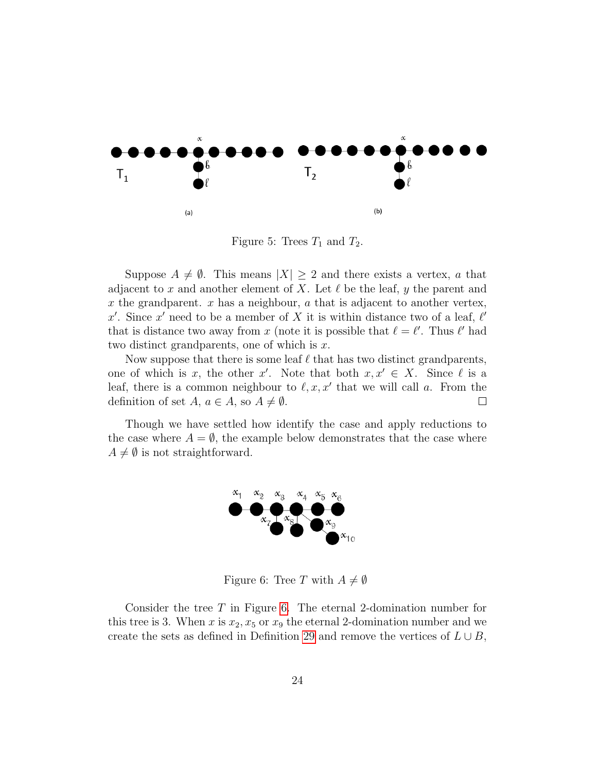

<span id="page-23-0"></span>Figure 5: Trees  $T_1$  and  $T_2$ .

Suppose  $A \neq \emptyset$ . This means  $|X| \geq 2$  and there exists a vertex, a that adjacent to x and another element of X. Let  $\ell$  be the leaf, y the parent and x the grandparent.  $x$  has a neighbour,  $a$  that is adjacent to another vertex, x'. Since x' need to be a member of X it is within distance two of a leaf,  $\ell'$ that is distance two away from x (note it is possible that  $\ell = \ell'$ . Thus  $\ell'$  had two distinct grandparents, one of which is  $x$ .

Now suppose that there is some leaf  $\ell$  that has two distinct grandparents, one of which is x, the other x'. Note that both  $x, x' \in X$ . Since  $\ell$  is a leaf, there is a common neighbour to  $\ell, x, x'$  that we will call a. From the definition of set  $A, a \in A$ , so  $A \neq \emptyset$ .  $\Box$ 

Though we have settled how identify the case and apply reductions to the case where  $A = \emptyset$ , the example below demonstrates that the case where  $A \neq \emptyset$  is not straightforward.



<span id="page-23-1"></span>Figure 6: Tree T with  $A \neq \emptyset$ 

Consider the tree T in Figure [6.](#page-23-1) The eternal 2-domination number for this tree is 3. When x is  $x_2, x_5$  or  $x_9$  the eternal 2-domination number and we create the sets as defined in Definition [29](#page-21-1) and remove the vertices of  $L \cup B$ ,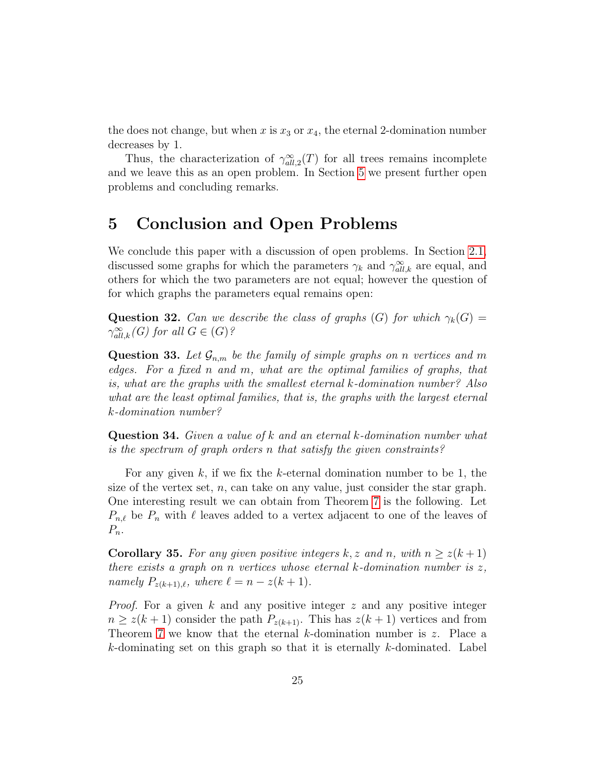the does not change, but when x is  $x_3$  or  $x_4$ , the eternal 2-domination number decreases by 1.

Thus, the characterization of  $\gamma_{all,2}^{\infty}(T)$  for all trees remains incomplete and we leave this as an open problem. In Section [5](#page-24-0) we present further open problems and concluding remarks.

## <span id="page-24-0"></span>5 Conclusion and Open Problems

We conclude this paper with a discussion of open problems. In Section [2.1,](#page-2-1) discussed some graphs for which the parameters  $\gamma_k$  and  $\gamma_{all,k}^{\infty}$  are equal, and others for which the two parameters are not equal; however the question of for which graphs the parameters equal remains open:

**Question 32.** Can we describe the class of graphs (G) for which  $\gamma_k(G)$  =  $\gamma_{all,k}^{\infty}(G)$  for all  $G \in (G)$ ?

**Question 33.** Let  $\mathcal{G}_{n,m}$  be the family of simple graphs on n vertices and m edges. For a fixed n and m, what are the optimal families of graphs, that is, what are the graphs with the smallest eternal k-domination number? Also what are the least optimal families, that is, the graphs with the largest eternal k-domination number?

Question 34. Given a value of k and an eternal k-domination number what is the spectrum of graph orders n that satisfy the given constraints?

For any given  $k$ , if we fix the  $k$ -eternal domination number to be 1, the size of the vertex set,  $n$ , can take on any value, just consider the star graph. One interesting result we can obtain from Theorem [7](#page-4-0) is the following. Let  $P_{n,\ell}$  be  $P_n$  with  $\ell$  leaves added to a vertex adjacent to one of the leaves of  $P_n$ .

**Corollary 35.** For any given positive integers k, z and n, with  $n \geq z(k+1)$ there exists a graph on n vertices whose eternal  $k$ -domination number is  $z$ , namely  $P_{z(k+1),\ell}$ , where  $\ell = n - z(k + 1)$ .

*Proof.* For a given  $k$  and any positive integer  $z$  and any positive integer  $n \geq z(k+1)$  consider the path  $P_{z(k+1)}$ . This has  $z(k+1)$  vertices and from Theorem [7](#page-4-0) we know that the eternal k-domination number is z. Place a k-dominating set on this graph so that it is eternally k-dominated. Label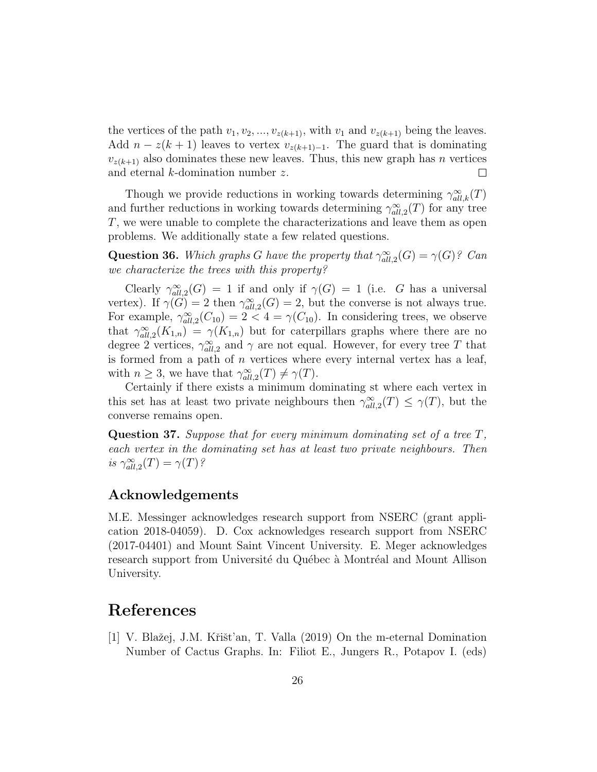the vertices of the path  $v_1, v_2, ..., v_{z(k+1)}$ , with  $v_1$  and  $v_{z(k+1)}$  being the leaves. Add  $n - z(k+1)$  leaves to vertex  $v_{z(k+1)-1}$ . The guard that is dominating  $v_{z(k+1)}$  also dominates these new leaves. Thus, this new graph has *n* vertices and eternal k-domination number z.  $\Box$ 

Though we provide reductions in working towards determining  $\gamma_{all,k}^{\infty}(T)$ and further reductions in working towards determining  $\gamma_{all,2}^{\infty}(T)$  for any tree T, we were unable to complete the characterizations and leave them as open problems. We additionally state a few related questions.

**Question 36.** Which graphs G have the property that  $\gamma_{all,2}^{\infty}(G) = \gamma(G)$ ? Can we characterize the trees with this property?

Clearly  $\gamma_{all,2}^{\infty}(G) = 1$  if and only if  $\gamma(G) = 1$  (i.e. G has a universal vertex). If  $\gamma(G) = 2$  then  $\gamma_{all,2}^{\infty}(G) = 2$ , but the converse is not always true. For example,  $\gamma_{all,2}^{\infty}(C_{10}) = 2 < 4 = \gamma(C_{10})$ . In considering trees, we observe that  $\gamma_{all,2}^{\infty}(K_{1,n}) = \gamma(K_{1,n})$  but for caterpillars graphs where there are no degree 2 vertices,  $\gamma_{all,2}^{\infty}$  and  $\gamma$  are not equal. However, for every tree T that is formed from a path of  $n$  vertices where every internal vertex has a leaf, with  $n \geq 3$ , we have that  $\gamma_{all,2}^{\infty}(T) \neq \gamma(T)$ .

Certainly if there exists a minimum dominating st where each vertex in this set has at least two private neighbours then  $\gamma_{all,2}^{\infty}(T) \leq \gamma(T)$ , but the converse remains open.

**Question 37.** Suppose that for every minimum dominating set of a tree  $T$ , each vertex in the dominating set has at least two private neighbours. Then is  $\gamma_{all,2}^{\infty}(T) = \gamma(T)$ ?

#### Acknowledgements

M.E. Messinger acknowledges research support from NSERC (grant application 2018-04059). D. Cox acknowledges research support from NSERC (2017-04401) and Mount Saint Vincent University. E. Meger acknowledges research support from Université du Québec à Montréal and Mount Allison University.

### References

<span id="page-25-0"></span>[1] V. Blažej, J.M. Křišt'an, T. Valla (2019) On the m-eternal Domination Number of Cactus Graphs. In: Filiot E., Jungers R., Potapov I. (eds)